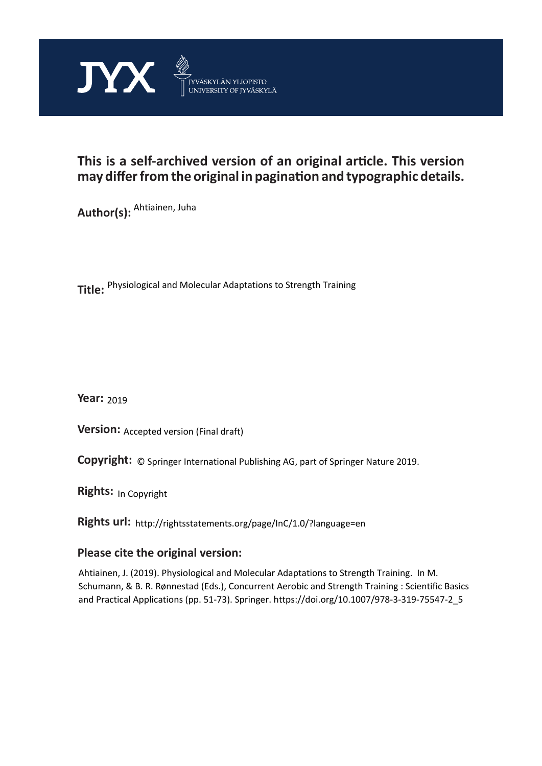

# **This is a self-archived version of an original article. This version may differ from the original in pagination and typographic details.**

Author(s): <sup>Ahtiainen, Juha</sup>

**Title:**  Physiological and Molecular Adaptations to Strength Training

**Year:**  2019

**Version: Accepted version (Final draft)** 

**Version:** Accepted version (Final draft)<br>**Copyright:** © Springer International Publishing AG, part of Springer Nature 2019.

**Rights:** In Copyright

**Rights url:**  http://rightsstatements.org/page/InC/1.0/?language=en

## **Please cite the original version:**

Ahtiainen, J. (2019). Physiological and Molecular Adaptations to Strength Training. In M. Schumann, & B. R. Rønnestad (Eds.), Concurrent Aerobic and Strength Training : Scientific Basics and Practical Applications (pp. 51-73). Springer. https://doi.org/10.1007/978-3-319-75547-2\_5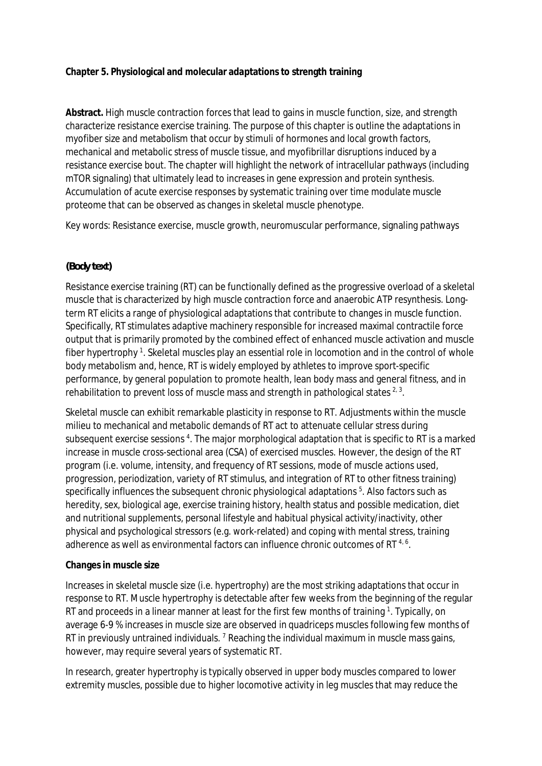#### **Chapter 5. Physiological and molecular adaptations to strength training**

**Abstract.** High muscle contraction forces that lead to gains in muscle function, size, and strength characterize resistance exercise training. The purpose of this chapter is outline the adaptations in myofiber size and metabolism that occur by stimuli of hormones and local growth factors, mechanical and metabolic stress of muscle tissue, and myofibrillar disruptions induced by a resistance exercise bout. The chapter will highlight the network of intracellular pathways (including mTOR signaling) that ultimately lead to increases in gene expression and protein synthesis. Accumulation of acute exercise responses by systematic training over time modulate muscle proteome that can be observed as changes in skeletal muscle phenotype.

Key words: Resistance exercise, muscle growth, neuromuscular performance, signaling pathways

## *(Body text)*

Resistance exercise training (RT) can be functionally defined as the progressive overload of a skeletal muscle that is characterized by high muscle contraction force and anaerobic ATP resynthesis. Longterm RT elicits a range of physiological adaptations that contribute to changes in muscle function. Specifically, RT stimulates adaptive machinery responsible for increased maximal contractile force output that is primarily promoted by the combined effect of enhanced muscle activation and muscle fiber hypertrophy <sup>1</sup>. Skeletal muscles play an essential role in locomotion and in the control of whole body metabolism and, hence, RT is widely employed by athletes to improve sport-specific performance, by general population to promote health, lean body mass and general fitness, and in rehabilitation to prevent loss of muscle mass and strength in pathological states  $^{2,3}$ .

Skeletal muscle can exhibit remarkable plasticity in response to RT. Adjustments within the muscle milieu to mechanical and metabolic demands of RT act to attenuate cellular stress during subsequent exercise sessions <sup>4</sup>. The major morphological adaptation that is specific to RT is a marked increase in muscle cross-sectional area (CSA) of exercised muscles. However, the design of the RT program (i.e. volume, intensity, and frequency of RT sessions, mode of muscle actions used, progression, periodization, variety of RT stimulus, and integration of RT to other fitness training) specifically influences the subsequent chronic physiological adaptations <sup>5</sup>. Also factors such as heredity, sex, biological age, exercise training history, health status and possible medication, diet and nutritional supplements, personal lifestyle and habitual physical activity/inactivity, other physical and psychological stressors (e.g. work-related) and coping with mental stress, training adherence as well as environmental factors can influence chronic outcomes of RT<sup>4,6</sup>.

## **Changes in muscle size**

Increases in skeletal muscle size (i.e. hypertrophy) are the most striking adaptations that occur in response to RT. Muscle hypertrophy is detectable after few weeks from the beginning of the regular RT and proceeds in a linear manner at least for the first few months of training  $1$ . Typically, on average 6-9 % increases in muscle size are observed in quadriceps muscles following few months of RT in previously untrained individuals.  $^7$  Reaching the individual maximum in muscle mass gains, however, may require several years of systematic RT.

In research, greater hypertrophy is typically observed in upper body muscles compared to lower extremity muscles, possible due to higher locomotive activity in leg muscles that may reduce the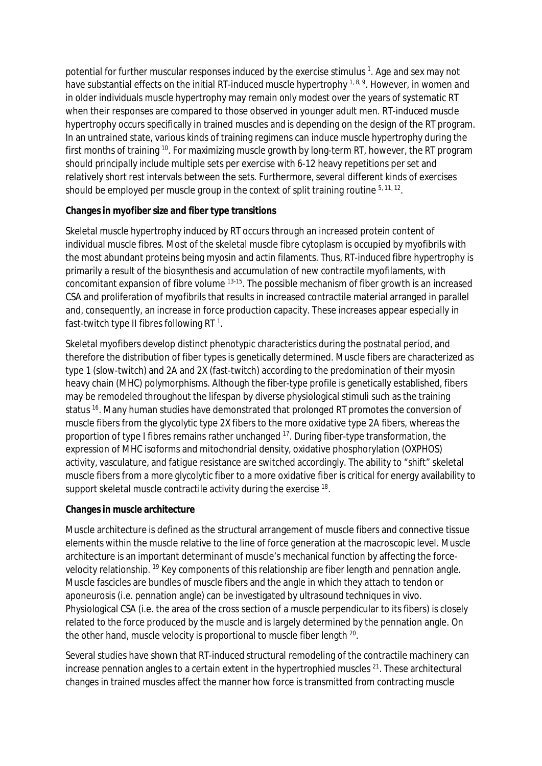potential for further muscular responses induced by the exercise stimulus <sup>1</sup>. Age and sex may not have substantial effects on the initial RT-induced muscle hypertrophy <sup>1, 8, 9</sup>. However, in women and in older individuals muscle hypertrophy may remain only modest over the years of systematic RT when their responses are compared to those observed in younger adult men. RT-induced muscle hypertrophy occurs specifically in trained muscles and is depending on the design of the RT program. In an untrained state, various kinds of training regimens can induce muscle hypertrophy during the first months of training  $10$ . For maximizing muscle growth by long-term RT, however, the RT program should principally include multiple sets per exercise with 6-12 heavy repetitions per set and relatively short rest intervals between the sets. Furthermore, several different kinds of exercises should be employed per muscle group in the context of split training routine  $^{5,~11,~12}.$ 

## **Changes in myofiber size and fiber type transitions**

Skeletal muscle hypertrophy induced by RT occurs through an increased protein content of individual muscle fibres. Most of the skeletal muscle fibre cytoplasm is occupied by myofibrils with the most abundant proteins being myosin and actin filaments. Thus, RT-induced fibre hypertrophy is primarily a result of the biosynthesis and accumulation of new contractile myofilaments, with concomitant expansion of fibre volume 13-15. The possible mechanism of fiber growth is an increased CSA and proliferation of myofibrils that results in increased contractile material arranged in parallel and, consequently, an increase in force production capacity. These increases appear especially in fast-twitch type II fibres following RT  $^{\text{1}}$ .

Skeletal myofibers develop distinct phenotypic characteristics during the postnatal period, and therefore the distribution of fiber types is genetically determined. Muscle fibers are characterized as type 1 (slow-twitch) and 2A and 2X (fast-twitch) according to the predomination of their myosin heavy chain (MHC) polymorphisms. Although the fiber-type profile is genetically established, fibers may be remodeled throughout the lifespan by diverse physiological stimuli such as the training status <sup>16</sup>. Many human studies have demonstrated that prolonged RT promotes the conversion of muscle fibers from the glycolytic type 2X fibers to the more oxidative type 2A fibers, whereas the proportion of type I fibres remains rather unchanged <sup>17</sup>. During fiber-type transformation, the expression of MHC isoforms and mitochondrial density, oxidative phosphorylation (OXPHOS) activity, vasculature, and fatigue resistance are switched accordingly. The ability to "shift" skeletal muscle fibers from a more glycolytic fiber to a more oxidative fiber is critical for energy availability to support skeletal muscle contractile activity during the exercise <sup>18</sup>.

## **Changes in muscle architecture**

Muscle architecture is defined as the structural arrangement of muscle fibers and connective tissue elements within the muscle relative to the line of force generation at the macroscopic level. Muscle architecture is an important determinant of muscle's mechanical function by affecting the forcevelocity relationship. <sup>19</sup> Key components of this relationship are fiber length and pennation angle. Muscle fascicles are bundles of muscle fibers and the angle in which they attach to tendon or aponeurosis (i.e. pennation angle) can be investigated by ultrasound techniques in vivo. Physiological CSA (i.e. the area of the cross section of a muscle perpendicular to its fibers) is closely related to the force produced by the muscle and is largely determined by the pennation angle. On the other hand, muscle velocity is proportional to muscle fiber length <sup>20</sup>.

Several studies have shown that RT-induced structural remodeling of the contractile machinery can increase pennation angles to a certain extent in the hypertrophied muscles  $^{21}$ . These architectural changes in trained muscles affect the manner how force is transmitted from contracting muscle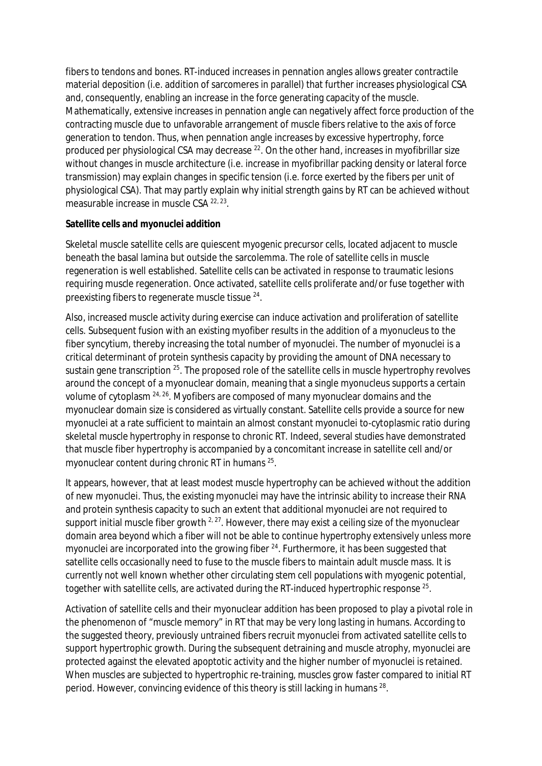fibers to tendons and bones. RT-induced increases in pennation angles allows greater contractile material deposition (i.e. addition of sarcomeres in parallel) that further increases physiological CSA and, consequently, enabling an increase in the force generating capacity of the muscle. Mathematically, extensive increases in pennation angle can negatively affect force production of the contracting muscle due to unfavorable arrangement of muscle fibers relative to the axis of force generation to tendon. Thus, when pennation angle increases by excessive hypertrophy, force produced per physiological CSA may decrease <sup>22</sup>. On the other hand, increases in myofibrillar size without changes in muscle architecture (i.e. increase in myofibrillar packing density or lateral force transmission) may explain changes in specific tension (i.e. force exerted by the fibers per unit of physiological CSA). That may partly explain why initial strength gains by RT can be achieved without measurable increase in muscle CSA<sup>22,23</sup>.

#### **Satellite cells and myonuclei addition**

Skeletal muscle satellite cells are quiescent myogenic precursor cells, located adjacent to muscle beneath the basal lamina but outside the sarcolemma. The role of satellite cells in muscle regeneration is well established. Satellite cells can be activated in response to traumatic lesions requiring muscle regeneration. Once activated, satellite cells proliferate and/or fuse together with preexisting fibers to regenerate muscle tissue <sup>24</sup>.

Also, increased muscle activity during exercise can induce activation and proliferation of satellite cells. Subsequent fusion with an existing myofiber results in the addition of a myonucleus to the fiber syncytium, thereby increasing the total number of myonuclei. The number of myonuclei is a critical determinant of protein synthesis capacity by providing the amount of DNA necessary to sustain gene transcription  $25$ . The proposed role of the satellite cells in muscle hypertrophy revolves around the concept of a myonuclear domain, meaning that a single myonucleus supports a certain volume of cytoplasm 24, 26. Myofibers are composed of many myonuclear domains and the myonuclear domain size is considered as virtually constant. Satellite cells provide a source for new myonuclei at a rate sufficient to maintain an almost constant myonuclei to-cytoplasmic ratio during skeletal muscle hypertrophy in response to chronic RT. Indeed, several studies have demonstrated that muscle fiber hypertrophy is accompanied by a concomitant increase in satellite cell and/or myonuclear content during chronic RT in humans<sup>25</sup>.

It appears, however, that at least modest muscle hypertrophy can be achieved without the addition of new myonuclei. Thus, the existing myonuclei may have the intrinsic ability to increase their RNA and protein synthesis capacity to such an extent that additional myonuclei are not required to support initial muscle fiber growth  $2.27$ . However, there may exist a ceiling size of the myonuclear domain area beyond which a fiber will not be able to continue hypertrophy extensively unless more myonuclei are incorporated into the growing fiber <sup>24</sup>. Furthermore, it has been suggested that satellite cells occasionally need to fuse to the muscle fibers to maintain adult muscle mass. It is currently not well known whether other circulating stem cell populations with myogenic potential, together with satellite cells, are activated during the RT-induced hypertrophic response <sup>25</sup>.

Activation of satellite cells and their myonuclear addition has been proposed to play a pivotal role in the phenomenon of "muscle memory" in RT that may be very long lasting in humans. According to the suggested theory, previously untrained fibers recruit myonuclei from activated satellite cells to support hypertrophic growth. During the subsequent detraining and muscle atrophy, myonuclei are protected against the elevated apoptotic activity and the higher number of myonuclei is retained. When muscles are subjected to hypertrophic re-training, muscles grow faster compared to initial RT period. However, convincing evidence of this theory is still lacking in humans<sup>28</sup>.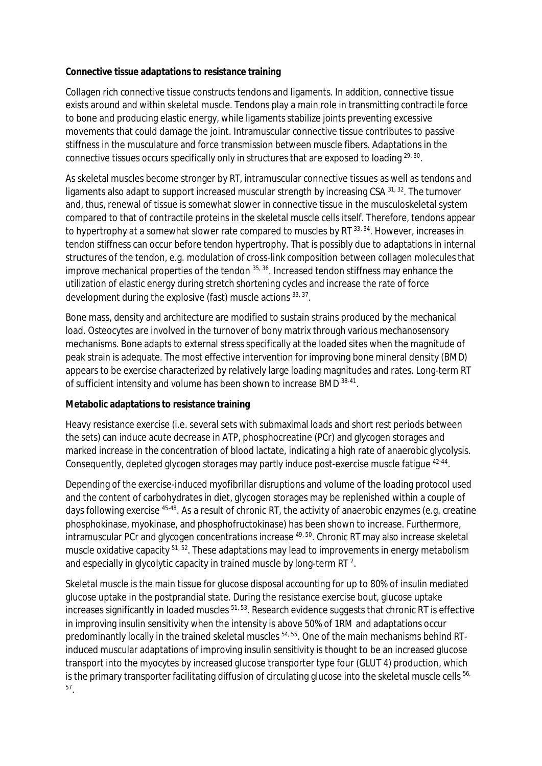**Connective tissue adaptations to resistance training**

Collagen rich connective tissue constructs tendons and ligaments. In addition, connective tissue exists around and within skeletal muscle. Tendons play a main role in transmitting contractile force to bone and producing elastic energy, while ligaments stabilize joints preventing excessive movements that could damage the joint. Intramuscular connective tissue contributes to passive stiffness in the musculature and force transmission between muscle fibers. Adaptations in the connective tissues occurs specifically only in structures that are exposed to loading <sup>29, 30</sup>.

As skeletal muscles become stronger by RT, intramuscular connective tissues as well as tendons and ligaments also adapt to support increased muscular strength by increasing CSA 31, 32. The turnover and, thus, renewal of tissue is somewhat slower in connective tissue in the musculoskeletal system compared to that of contractile proteins in the skeletal muscle cells itself. Therefore, tendons appear to hypertrophy at a somewhat slower rate compared to muscles by RT 33, 34. However, increases in tendon stiffness can occur before tendon hypertrophy. That is possibly due to adaptations in internal structures of the tendon, e.g. modulation of cross-link composition between collagen molecules that improve mechanical properties of the tendon  $35, 36$ . Increased tendon stiffness may enhance the utilization of elastic energy during stretch shortening cycles and increase the rate of force development during the explosive (fast) muscle actions 33, 37.

Bone mass, density and architecture are modified to sustain strains produced by the mechanical load. Osteocytes are involved in the turnover of bony matrix through various mechanosensory mechanisms. Bone adapts to external stress specifically at the loaded sites when the magnitude of peak strain is adequate. The most effective intervention for improving bone mineral density (BMD) appears to be exercise characterized by relatively large loading magnitudes and rates. Long-term RT of sufficient intensity and volume has been shown to increase BMD  $^{38-41}$ .

## **Metabolic adaptations to resistance training**

Heavy resistance exercise (i.e. several sets with submaximal loads and short rest periods between the sets) can induce acute decrease in ATP, phosphocreatine (PCr) and glycogen storages and marked increase in the concentration of blood lactate, indicating a high rate of anaerobic glycolysis. Consequently, depleted glycogen storages may partly induce post-exercise muscle fatigue <sup>42-44</sup>.

Depending of the exercise-induced myofibrillar disruptions and volume of the loading protocol used and the content of carbohydrates in diet, glycogen storages may be replenished within a couple of days following exercise <sup>45-48</sup>. As a result of chronic RT, the activity of anaerobic enzymes (e.g. creatine phosphokinase, myokinase, and phosphofructokinase) has been shown to increase. Furthermore, intramuscular PCr and glycogen concentrations increase 49, 50. Chronic RT may also increase skeletal muscle oxidative capacity <sup>51, 52</sup>. These adaptations may lead to improvements in energy metabolism and especially in glycolytic capacity in trained muscle by long-term RT  $^2$ .

Skeletal muscle is the main tissue for glucose disposal accounting for up to 80% of insulin mediated glucose uptake in the postprandial state. During the resistance exercise bout, glucose uptake increases significantly in loaded muscles <sup>51, 53</sup>. Research evidence suggests that chronic RT is effective in improving insulin sensitivity when the intensity is above 50% of 1RM and adaptations occur predominantly locally in the trained skeletal muscles <sup>54, 55</sup>. One of the main mechanisms behind RTinduced muscular adaptations of improving insulin sensitivity is thought to be an increased glucose transport into the myocytes by increased glucose transporter type four (GLUT 4) production, which is the primary transporter facilitating diffusion of circulating glucose into the skeletal muscle cells <sup>56,</sup> 57 .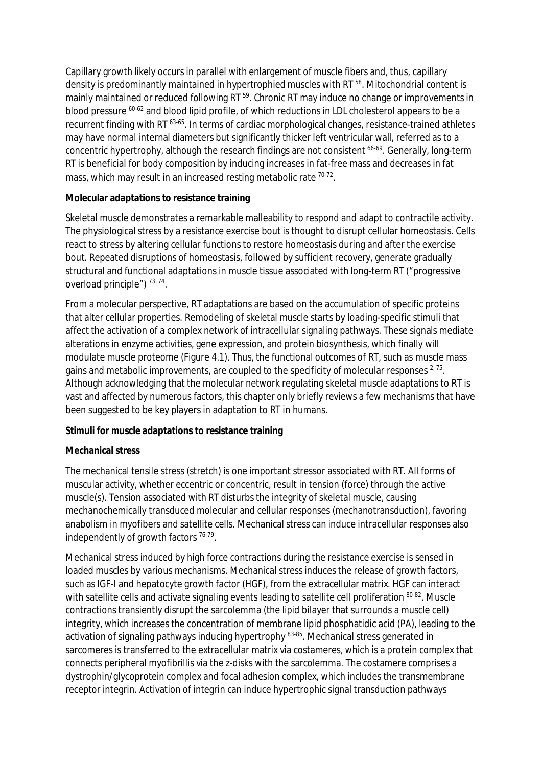Capillary growth likely occurs in parallel with enlargement of muscle fibers and, thus, capillary density is predominantly maintained in hypertrophied muscles with RT<sup>58</sup>. Mitochondrial content is mainly maintained or reduced following RT <sup>59</sup>. Chronic RT may induce no change or improvements in blood pressure <sup>60-62</sup> and blood lipid profile, of which reductions in LDL cholesterol appears to be a recurrent finding with RT 63-65. In terms of cardiac morphological changes, resistance-trained athletes may have normal internal diameters but significantly thicker left ventricular wall, referred as to a concentric hypertrophy, although the research findings are not consistent <sup>66-69</sup>. Generally, long-term RT is beneficial for body composition by inducing increases in fat-free mass and decreases in fat mass, which may result in an increased resting metabolic rate 70-72.

## **Molecular adaptations to resistance training**

Skeletal muscle demonstrates a remarkable malleability to respond and adapt to contractile activity. The physiological stress by a resistance exercise bout is thought to disrupt cellular homeostasis. Cells react to stress by altering cellular functions to restore homeostasis during and after the exercise bout. Repeated disruptions of homeostasis, followed by sufficient recovery, generate gradually structural and functional adaptations in muscle tissue associated with long-term RT ("progressive overload principle") <sup>73, 74</sup>.

From a molecular perspective, RT adaptations are based on the accumulation of specific proteins that alter cellular properties. Remodeling of skeletal muscle starts by loading-specific stimuli that affect the activation of a complex network of intracellular signaling pathways. These signals mediate alterations in enzyme activities, gene expression, and protein biosynthesis, which finally will modulate muscle proteome (Figure 4.1). Thus, the functional outcomes of RT, such as muscle mass gains and metabolic improvements, are coupled to the specificity of molecular responses  $^{2,75}\!$ . Although acknowledging that the molecular network regulating skeletal muscle adaptations to RT is vast and affected by numerous factors, this chapter only briefly reviews a few mechanisms that have been suggested to be key players in adaptation to RT in humans.

**Stimuli for muscle adaptations to resistance training**

## **Mechanical stress**

The mechanical tensile stress (stretch) is one important stressor associated with RT. All forms of muscular activity, whether eccentric or concentric, result in tension (force) through the active muscle(s). Tension associated with RT disturbs the integrity of skeletal muscle, causing mechanochemically transduced molecular and cellular responses (mechanotransduction), favoring anabolism in myofibers and satellite cells. Mechanical stress can induce intracellular responses also independently of growth factors <sup>76-79</sup>.

Mechanical stress induced by high force contractions during the resistance exercise is sensed in loaded muscles by various mechanisms. Mechanical stress induces the release of growth factors, such as IGF-I and hepatocyte growth factor (HGF), from the extracellular matrix. HGF can interact with satellite cells and activate signaling events leading to satellite cell proliferation 80-82. Muscle contractions transiently disrupt the sarcolemma (the lipid bilayer that surrounds a muscle cell) integrity, which increases the concentration of membrane lipid phosphatidic acid (PA), leading to the activation of signaling pathways inducing hypertrophy 83-85. Mechanical stress generated in sarcomeres is transferred to the extracellular matrix via costameres, which is a protein complex that connects peripheral myofibrillis via the z-disks with the sarcolemma. The costamere comprises a dystrophin/glycoprotein complex and focal adhesion complex, which includes the transmembrane receptor integrin. Activation of integrin can induce hypertrophic signal transduction pathways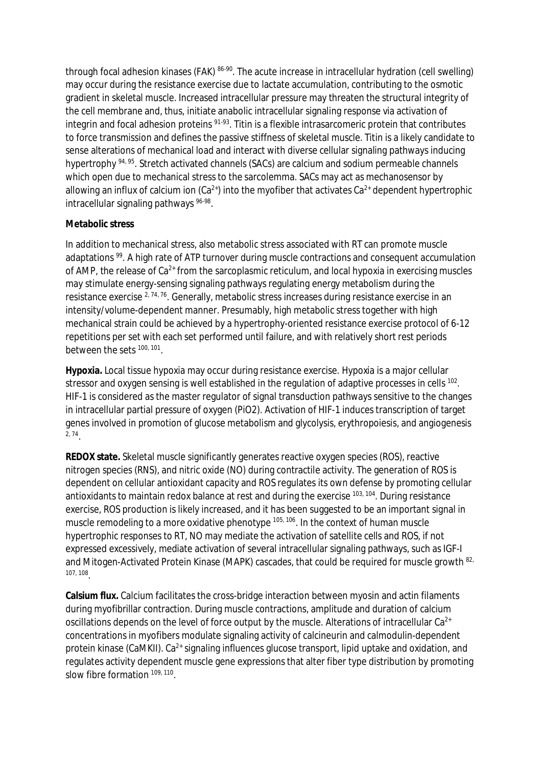through focal adhesion kinases (FAK) <sup>86-90</sup>. The acute increase in intracellular hydration (cell swelling) may occur during the resistance exercise due to lactate accumulation, contributing to the osmotic gradient in skeletal muscle. Increased intracellular pressure may threaten the structural integrity of the cell membrane and, thus, initiate anabolic intracellular signaling response via activation of integrin and focal adhesion proteins <sup>91-93</sup>. Titin is a flexible intrasarcomeric protein that contributes to force transmission and defines the passive stiffness of skeletal muscle. Titin is a likely candidate to sense alterations of mechanical load and interact with diverse cellular signaling pathways inducing hypertrophy 94, 95. Stretch activated channels (SACs) are calcium and sodium permeable channels which open due to mechanical stress to the sarcolemma. SACs may act as mechanosensor by allowing an influx of calcium ion ( $Ca^{2+}$ ) into the myofiber that activates  $Ca^{2+}$  dependent hypertrophic intracellular signaling pathways <sup>96-98</sup>.

#### **Metabolic stress**

In addition to mechanical stress, also metabolic stress associated with RT can promote muscle adaptations<sup>99</sup>. A high rate of ATP turnover during muscle contractions and consequent accumulation of AMP, the release of  $Ca<sup>2+</sup>$  from the sarcoplasmic reticulum, and local hypoxia in exercising muscles may stimulate energy-sensing signaling pathways regulating energy metabolism during the resistance exercise 2, 74, 76. Generally, metabolic stress increases during resistance exercise in an intensity/volume-dependent manner. Presumably, high metabolic stress together with high mechanical strain could be achieved by a hypertrophy-oriented resistance exercise protocol of 6-12 repetitions per set with each set performed until failure, and with relatively short rest periods between the sets <sup>100, 101</sup>.

**Hypoxia.** Local tissue hypoxia may occur during resistance exercise. Hypoxia is a major cellular stressor and oxygen sensing is well established in the regulation of adaptive processes in cells <sup>102</sup>. HIF-1 is considered as the master regulator of signal transduction pathways sensitive to the changes in intracellular partial pressure of oxygen (PiO2). Activation of HIF-1 induces transcription of target genes involved in promotion of glucose metabolism and glycolysis, erythropoiesis, and angiogenesis 2, 74 .

**REDOX state.** Skeletal muscle significantly generates reactive oxygen species (ROS), reactive nitrogen species (RNS), and nitric oxide (NO) during contractile activity. The generation of ROS is dependent on cellular antioxidant capacity and ROS regulates its own defense by promoting cellular antioxidants to maintain redox balance at rest and during the exercise 103, 104. During resistance exercise, ROS production is likely increased, and it has been suggested to be an important signal in muscle remodeling to a more oxidative phenotype <sup>105, 106</sup>. In the context of human muscle hypertrophic responses to RT, NO may mediate the activation of satellite cells and ROS, if not expressed excessively, mediate activation of several intracellular signaling pathways, such as IGF-I and Mitogen-Activated Protein Kinase (MAPK) cascades, that could be required for muscle growth <sup>82,</sup> 107, 108 .

**Calsium flux.** Calcium facilitates the cross-bridge interaction between myosin and actin filaments during myofibrillar contraction. During muscle contractions, amplitude and duration of calcium oscillations depends on the level of force output by the muscle. Alterations of intracellular  $Ca^{2+}$ concentrations in myofibers modulate signaling activity of calcineurin and calmodulin-dependent protein kinase (CaMKII). Ca<sup>2+</sup> signaling influences glucose transport, lipid uptake and oxidation, and regulates activity dependent muscle gene expressions that alter fiber type distribution by promoting slow fibre formation <sup>109, 110</sup>.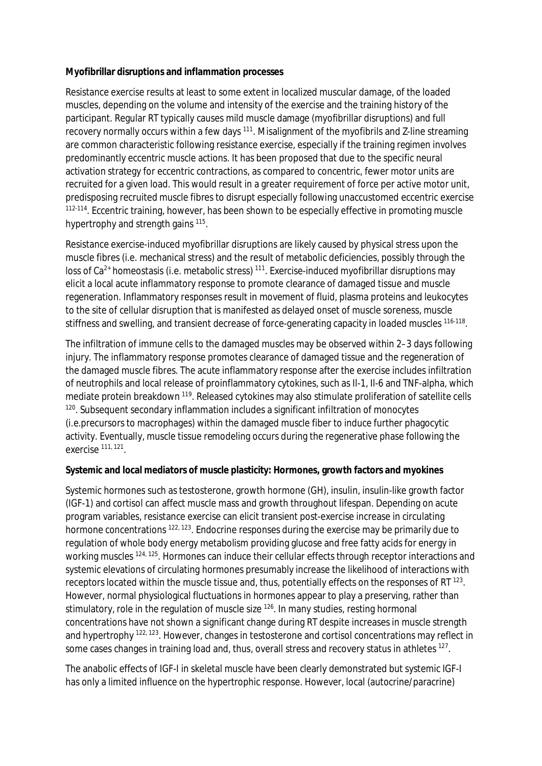#### **Myofibrillar disruptions and inflammation processes**

Resistance exercise results at least to some extent in localized muscular damage, of the loaded muscles, depending on the volume and intensity of the exercise and the training history of the participant. Regular RT typically causes mild muscle damage (myofibrillar disruptions) and full recovery normally occurs within a few days <sup>111</sup>. Misalignment of the myofibrils and Z-line streaming are common characteristic following resistance exercise, especially if the training regimen involves predominantly eccentric muscle actions. It has been proposed that due to the specific neural activation strategy for eccentric contractions, as compared to concentric, fewer motor units are recruited for a given load. This would result in a greater requirement of force per active motor unit, predisposing recruited muscle fibres to disrupt especially following unaccustomed eccentric exercise <sup>112-114</sup>. Eccentric training, however, has been shown to be especially effective in promoting muscle hypertrophy and strength gains <sup>115</sup>.

Resistance exercise-induced myofibrillar disruptions are likely caused by physical stress upon the muscle fibres (i.e. mechanical stress) and the result of metabolic deficiencies, possibly through the loss of  $Ca^{2+}$  homeostasis (i.e. metabolic stress)  $111$ . Exercise-induced myofibrillar disruptions may elicit a local acute inflammatory response to promote clearance of damaged tissue and muscle regeneration. Inflammatory responses result in movement of fluid, plasma proteins and leukocytes to the site of cellular disruption that is manifested as delayed onset of muscle soreness, muscle stiffness and swelling, and transient decrease of force-generating capacity in loaded muscles  $^{116\text{-}118}.$ 

The infiltration of immune cells to the damaged muscles may be observed within 2–3 days following injury. The inflammatory response promotes clearance of damaged tissue and the regeneration of the damaged muscle fibres. The acute inflammatory response after the exercise includes infiltration of neutrophils and local release of proinflammatory cytokines, such as Il-1, Il-6 and TNF-alpha, which mediate protein breakdown <sup>119</sup>. Released cytokines may also stimulate proliferation of satellite cells <sup>120</sup>. Subsequent secondary inflammation includes a significant infiltration of monocytes (i.e.precursors to macrophages) within the damaged muscle fiber to induce further phagocytic activity. Eventually, muscle tissue remodeling occurs during the regenerative phase following the exercise 111, 121

#### **Systemic and local mediators of muscle plasticity: Hormones, growth factors and myokines**

Systemic hormones such as testosterone, growth hormone (GH), insulin, insulin-like growth factor (IGF-1) and cortisol can affect muscle mass and growth throughout lifespan. Depending on acute program variables, resistance exercise can elicit transient post-exercise increase in circulating hormone concentrations <sup>122, 123</sup>. Endocrine responses during the exercise may be primarily due to regulation of whole body energy metabolism providing glucose and free fatty acids for energy in working muscles <sup>124, 125</sup>. Hormones can induce their cellular effects through receptor interactions and systemic elevations of circulating hormones presumably increase the likelihood of interactions with receptors located within the muscle tissue and, thus, potentially effects on the responses of RT 123. However, normal physiological fluctuations in hormones appear to play a preserving, rather than stimulatory, role in the regulation of muscle size <sup>126</sup>. In many studies, resting hormonal concentrations have not shown a significant change during RT despite increases in muscle strength and hypertrophy <sup>122, 123</sup>. However, changes in testosterone and cortisol concentrations may reflect in some cases changes in training load and, thus, overall stress and recovery status in athletes <sup>127</sup>.

The anabolic effects of IGF-I in skeletal muscle have been clearly demonstrated but systemic IGF-I has only a limited influence on the hypertrophic response. However, local (autocrine/paracrine)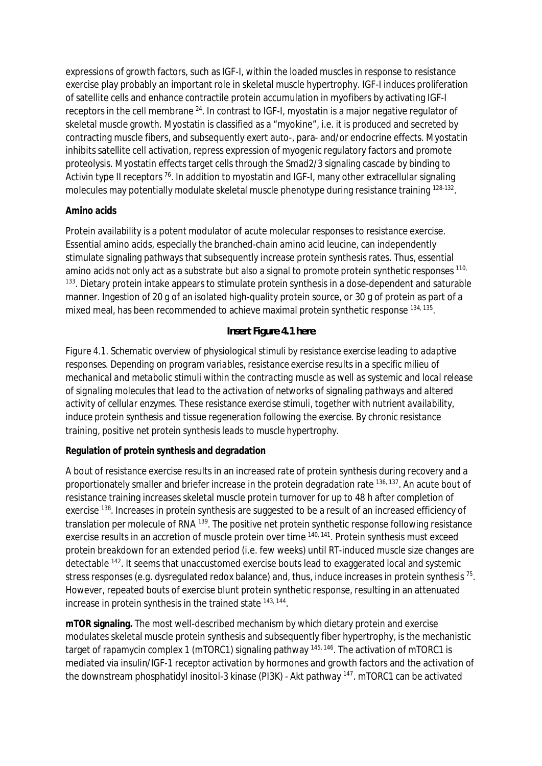expressions of growth factors, such as IGF-I, within the loaded muscles in response to resistance exercise play probably an important role in skeletal muscle hypertrophy. IGF-I induces proliferation of satellite cells and enhance contractile protein accumulation in myofibers by activating IGF-I receptors in the cell membrane <sup>24</sup>. In contrast to IGF-I, myostatin is a major negative regulator of skeletal muscle growth. Myostatin is classified as a "myokine", i.e. it is produced and secreted by contracting muscle fibers, and subsequently exert auto-, para- and/or endocrine effects. Myostatin inhibits satellite cell activation, repress expression of myogenic regulatory factors and promote proteolysis. Myostatin effects target cells through the Smad2/3 signaling cascade by binding to Activin type II receptors <sup>76</sup>. In addition to myostatin and IGF-I, many other extracellular signaling molecules may potentially modulate skeletal muscle phenotype during resistance training <sup>128-132</sup>.

## **Amino acids**

Protein availability is a potent modulator of acute molecular responses to resistance exercise. Essential amino acids, especially the branched-chain amino acid leucine, can independently stimulate signaling pathways that subsequently increase protein synthesis rates. Thus, essential amino acids not only act as a substrate but also a signal to promote protein synthetic responses <sup>110,</sup> <sup>133</sup>. Dietary protein intake appears to stimulate protein synthesis in a dose-dependent and saturable manner. Ingestion of 20 g of an isolated high-quality protein source, or 30 g of protein as part of a mixed meal, has been recommended to achieve maximal protein synthetic response <sup>134, 135</sup>.

#### *Insert Figure 4.1 here*

*Figure 4.1. Schematic overview of physiological stimuli by resistance exercise leading to adaptive responses. Depending on program variables, resistance exercise results in a specific milieu of mechanical and metabolic stimuli within the contracting muscle as well as systemic and local release of signaling molecules that lead to the activation of networks of signaling pathways and altered activity of cellular enzymes. These resistance exercise stimuli, together with nutrient availability, induce protein synthesis and tissue regeneration following the exercise. By chronic resistance training, positive net protein synthesis leads to muscle hypertrophy.*

## **Regulation of protein synthesis and degradation**

A bout of resistance exercise results in an increased rate of protein synthesis during recovery and a proportionately smaller and briefer increase in the protein degradation rate 136, 137. An acute bout of resistance training increases skeletal muscle protein turnover for up to 48 h after completion of exercise <sup>138</sup>. Increases in protein synthesis are suggested to be a result of an increased efficiency of translation per molecule of RNA <sup>139</sup>. The positive net protein synthetic response following resistance exercise results in an accretion of muscle protein over time 140, 141. Protein synthesis must exceed protein breakdown for an extended period (i.e. few weeks) until RT-induced muscle size changes are detectable <sup>142</sup>. It seems that unaccustomed exercise bouts lead to exaggerated local and systemic stress responses (e.g. dysregulated redox balance) and, thus, induce increases in protein synthesis <sup>75</sup>. However, repeated bouts of exercise blunt protein synthetic response, resulting in an attenuated increase in protein synthesis in the trained state <sup>143, 144</sup>.

**mTOR signaling.** The most well-described mechanism by which dietary protein and exercise modulates skeletal muscle protein synthesis and subsequently fiber hypertrophy, is the mechanistic target of rapamycin complex 1 (mTORC1) signaling pathway <sup>145, 146</sup>. The activation of mTORC1 is mediated via insulin/IGF-1 receptor activation by hormones and growth factors and the activation of the downstream phosphatidyl inositol-3 kinase (PI3K) - Akt pathway <sup>147</sup>. mTORC1 can be activated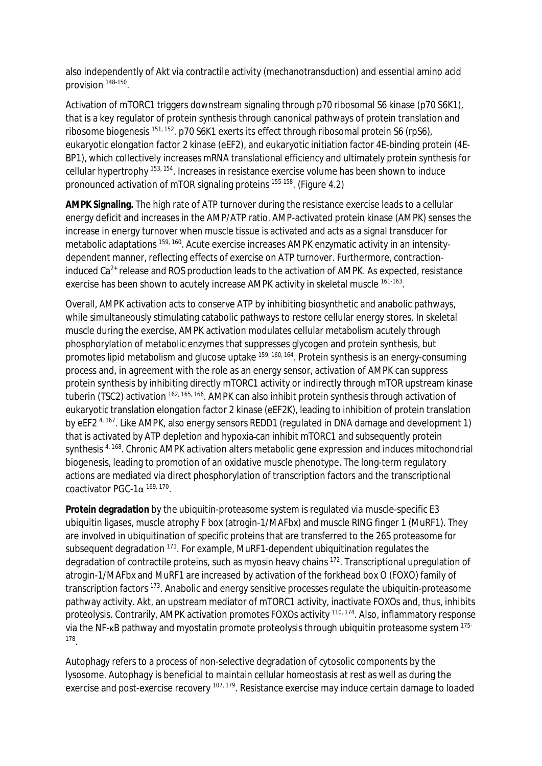also independently of Akt via contractile activity (mechanotransduction) and essential amino acid provision  $148-150$ .

Activation of mTORC1 triggers downstream signaling through p70 ribosomal S6 kinase (p70 S6K1), that is a key regulator of protein synthesis through canonical pathways of protein translation and ribosome biogenesis <sup>151, 152</sup>. p70 S6K1 exerts its effect through ribosomal protein S6 (rpS6), eukaryotic elongation factor 2 kinase (eEF2), and eukaryotic initiation factor 4E-binding protein (4E-BP1), which collectively increases mRNA translational efficiency and ultimately protein synthesis for cellular hypertrophy 153, 154. Increases in resistance exercise volume has been shown to induce pronounced activation of mTOR signaling proteins 155-158. (Figure 4.2)

**AMPK Signaling.** The high rate of ATP turnover during the resistance exercise leads to a cellular energy deficit and increases in the AMP/ATP ratio. AMP-activated protein kinase (AMPK) senses the increase in energy turnover when muscle tissue is activated and acts as a signal transducer for metabolic adaptations 159, 160. Acute exercise increases AMPK enzymatic activity in an intensitydependent manner, reflecting effects of exercise on ATP turnover. Furthermore, contractioninduced  $Ca<sup>2+</sup>$  release and ROS production leads to the activation of AMPK. As expected, resistance exercise has been shown to acutely increase AMPK activity in skeletal muscle <sup>161-163</sup>.

Overall, AMPK activation acts to conserve ATP by inhibiting biosynthetic and anabolic pathways, while simultaneously stimulating catabolic pathways to restore cellular energy stores. In skeletal muscle during the exercise, AMPK activation modulates cellular metabolism acutely through phosphorylation of metabolic enzymes that suppresses glycogen and protein synthesis, but promotes lipid metabolism and glucose uptake 159, 160, 164. Protein synthesis is an energy-consuming process and, in agreement with the role as an energy sensor, activation of AMPK can suppress protein synthesis by inhibiting directly mTORC1 activity or indirectly through mTOR upstream kinase tuberin (TSC2) activation 162, 165, 166. AMPK can also inhibit protein synthesis through activation of eukaryotic translation elongation factor 2 kinase (eEF2K), leading to inhibition of protein translation by eEF2 4, 167. Like AMPK, also energy sensors REDD1 (regulated in DNA damage and development 1) that is activated by ATP depletion and hypoxia can inhibit mTORC1 and subsequently protein synthesis<sup>4, 168</sup>. Chronic AMPK activation alters metabolic gene expression and induces mitochondrial biogenesis, leading to promotion of an oxidative muscle phenotype. The long-term regulatory actions are mediated via direct phosphorylation of transcription factors and the transcriptional coactivator PGC-1α<sup>169,170</sup>.

**Protein degradation** by the ubiquitin-proteasome system is regulated via muscle-specific E3 ubiquitin ligases, muscle atrophy F box (atrogin-1/MAFbx) and muscle RING finger 1 (MuRF1). They are involved in ubiquitination of specific proteins that are transferred to the 26S proteasome for subsequent degradation <sup>171</sup>. For example, MuRF1-dependent ubiquitination regulates the degradation of contractile proteins, such as myosin heavy chains <sup>172</sup>. Transcriptional upregulation of atrogin-1/MAFbx and MuRF1 are increased by activation of the forkhead box O (FOXO) family of transcription factors <sup>173</sup>. Anabolic and energy sensitive processes regulate the ubiquitin-proteasome pathway activity. Akt, an upstream mediator of mTORC1 activity, inactivate FOXOs and, thus, inhibits proteolysis. Contrarily, AMPK activation promotes FOXOs activity 110, 174. Also, inflammatory response via the NF-κB pathway and myostatin promote proteolysis through ubiquitin proteasome system 175- 178 .

Autophagy refers to a process of non-selective degradation of cytosolic components by the lysosome. Autophagy is beneficial to maintain cellular homeostasis at rest as well as during the exercise and post-exercise recovery <sup>107, 179</sup>. Resistance exercise may induce certain damage to loaded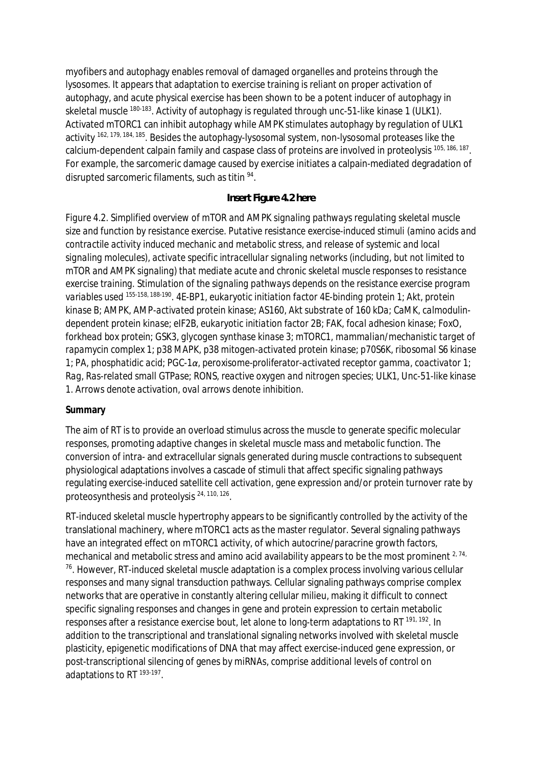myofibers and autophagy enables removal of damaged organelles and proteins through the lysosomes. It appears that adaptation to exercise training is reliant on proper activation of autophagy, and acute physical exercise has been shown to be a potent inducer of autophagy in skeletal muscle <sup>180-183</sup>. Activity of autophagy is regulated through unc-51-like kinase 1 (ULK1). Activated mTORC1 can inhibit autophagy while AMPK stimulates autophagy by regulation of ULK1 activity <sup>162, 179, 184, 185</sup>. Besides the autophagy-lysosomal system, non-lysosomal proteases like the calcium-dependent calpain family and caspase class of proteins are involved in proteolysis <sup>105, 186, 187</sup>. For example, the sarcomeric damage caused by exercise initiates a calpain-mediated degradation of disrupted sarcomeric filaments, such as titin <sup>94</sup>.

#### *Insert Figure 4.2 here*

*Figure 4.2. Simplified overview of mTOR and AMPK signaling pathways regulating skeletal muscle size and function by resistance exercise. Putative resistance exercise-induced stimuli (amino acids and contractile activity induced mechanic and metabolic stress, and release of systemic and local signaling molecules), activate specific intracellular signaling networks (including, but not limited to mTOR and AMPK signaling) that mediate acute and chronic skeletal muscle responses to resistance exercise training. Stimulation of the signaling pathways depends on the resistance exercise program variables used* 155-158, 188-190*. 4E-BP1, eukaryotic initiation factor 4E-binding protein 1; Akt, protein kinase B; AMPK, AMP-activated protein kinase; AS160, Akt substrate of 160 kDa; CaMK, calmodulindependent protein kinase; eIF2B, eukaryotic initiation factor 2B; FAK, focal adhesion kinase; FoxO, forkhead box protein; GSK3, glycogen synthase kinase 3; mTORC1, mammalian/mechanistic target of rapamycin complex 1; p38 MAPK, p38 mitogen-activated protein kinase; p70S6K, ribosomal S6 kinase 1; PA, phosphatidic acid; PGC-1α, peroxisome-proliferator-activated receptor gamma, coactivator 1; Rag, Ras-related small GTPase; RONS, reactive oxygen and nitrogen species; ULK1, Unc-51-like kinase 1. Arrows denote activation, oval arrows denote inhibition.*

#### **Summary**

The aim of RT is to provide an overload stimulus across the muscle to generate specific molecular responses, promoting adaptive changes in skeletal muscle mass and metabolic function. The conversion of intra- and extracellular signals generated during muscle contractions to subsequent physiological adaptations involves a cascade of stimuli that affect specific signaling pathways regulating exercise-induced satellite cell activation, gene expression and/or protein turnover rate by proteosynthesis and proteolysis<sup>24, 110, 126</sup>.

RT-induced skeletal muscle hypertrophy appears to be significantly controlled by the activity of the translational machinery, where mTORC1 acts as the master regulator. Several signaling pathways have an integrated effect on mTORC1 activity, of which autocrine/paracrine growth factors, mechanical and metabolic stress and amino acid availability appears to be the most prominent  $2, 74$ , <sup>76</sup>. However, RT-induced skeletal muscle adaptation is a complex process involving various cellular responses and many signal transduction pathways. Cellular signaling pathways comprise complex networks that are operative in constantly altering cellular milieu, making it difficult to connect specific signaling responses and changes in gene and protein expression to certain metabolic responses after a resistance exercise bout, let alone to long-term adaptations to RT 191, 192. In addition to the transcriptional and translational signaling networks involved with skeletal muscle plasticity, epigenetic modifications of DNA that may affect exercise-induced gene expression, or post-transcriptional silencing of genes by miRNAs, comprise additional levels of control on adaptations to RT <sup>193-197</sup>.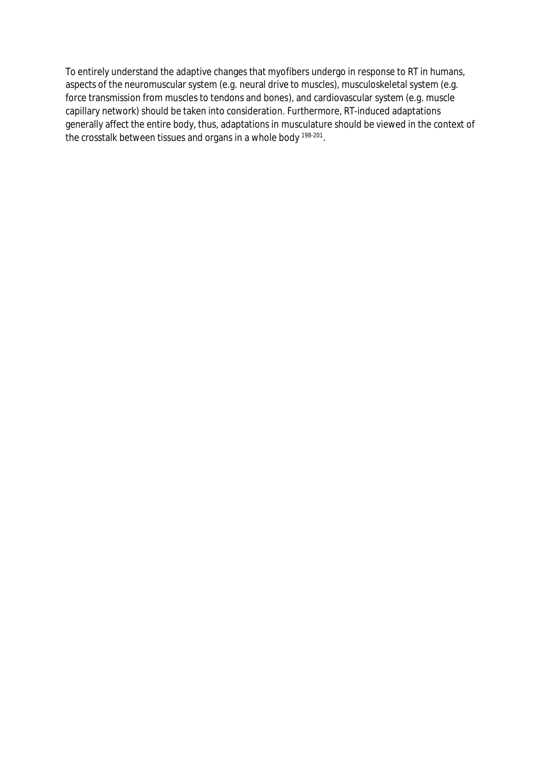To entirely understand the adaptive changes that myofibers undergo in response to RT in humans, aspects of the neuromuscular system (e.g. neural drive to muscles), musculoskeletal system (e.g. force transmission from muscles to tendons and bones), and cardiovascular system (e.g. muscle capillary network) should be taken into consideration. Furthermore, RT-induced adaptations generally affect the entire body, thus, adaptations in musculature should be viewed in the context of the crosstalk between tissues and organs in a whole body <sup>198-201</sup>.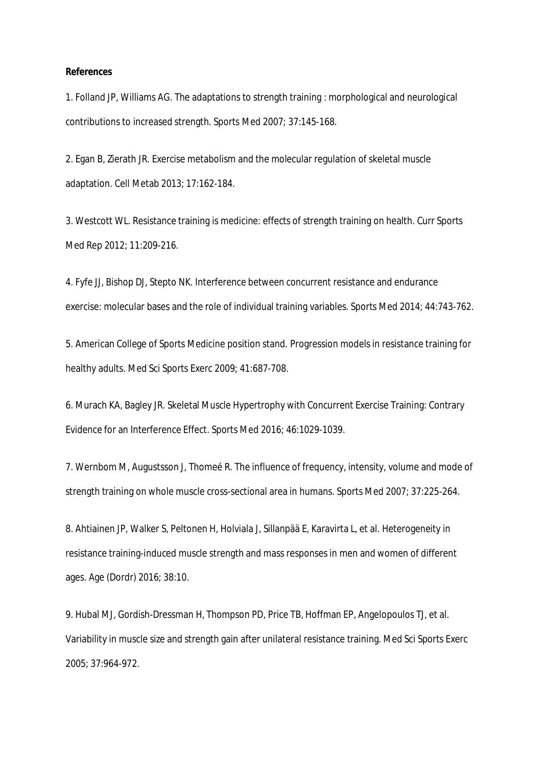**References**

1. Folland JP, Williams AG. The adaptations to strength training : morphological and neurological contributions to increased strength. Sports Med 2007; 37:145-168.

2. Egan B, Zierath JR. Exercise metabolism and the molecular regulation of skeletal muscle adaptation. Cell Metab 2013; 17:162-184.

3. Westcott WL. Resistance training is medicine: effects of strength training on health. Curr Sports Med Rep 2012; 11:209-216.

4. Fyfe JJ, Bishop DJ, Stepto NK. Interference between concurrent resistance and endurance exercise: molecular bases and the role of individual training variables. Sports Med 2014; 44:743-762.

5. American College of Sports Medicine position stand. Progression models in resistance training for healthy adults. Med Sci Sports Exerc 2009; 41:687-708.

6. Murach KA, Bagley JR. Skeletal Muscle Hypertrophy with Concurrent Exercise Training: Contrary Evidence for an Interference Effect. Sports Med 2016; 46:1029-1039.

7. Wernbom M, Augustsson J, Thomeé R. The influence of frequency, intensity, volume and mode of strength training on whole muscle cross-sectional area in humans. Sports Med 2007; 37:225-264.

8. Ahtiainen JP, Walker S, Peltonen H, Holviala J, Sillanpää E, Karavirta L, et al. Heterogeneity in resistance training-induced muscle strength and mass responses in men and women of different ages. Age (Dordr) 2016; 38:10.

9. Hubal MJ, Gordish-Dressman H, Thompson PD, Price TB, Hoffman EP, Angelopoulos TJ, et al. Variability in muscle size and strength gain after unilateral resistance training. Med Sci Sports Exerc 2005; 37:964-972.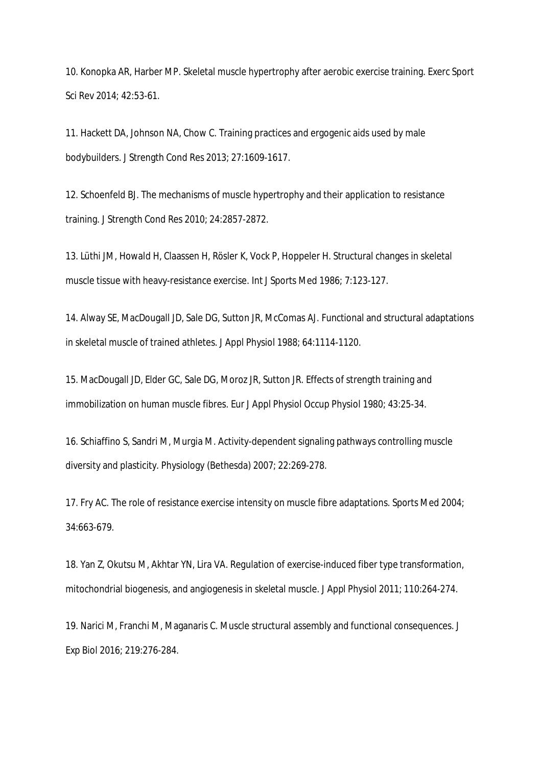10. Konopka AR, Harber MP. Skeletal muscle hypertrophy after aerobic exercise training. Exerc Sport Sci Rev 2014; 42:53-61.

11. Hackett DA, Johnson NA, Chow C. Training practices and ergogenic aids used by male bodybuilders. J Strength Cond Res 2013; 27:1609-1617.

12. Schoenfeld BJ. The mechanisms of muscle hypertrophy and their application to resistance training. J Strength Cond Res 2010; 24:2857-2872.

13. Lüthi JM, Howald H, Claassen H, Rösler K, Vock P, Hoppeler H. Structural changes in skeletal muscle tissue with heavy-resistance exercise. Int J Sports Med 1986; 7:123-127.

14. Alway SE, MacDougall JD, Sale DG, Sutton JR, McComas AJ. Functional and structural adaptations in skeletal muscle of trained athletes. J Appl Physiol 1988; 64:1114-1120.

15. MacDougall JD, Elder GC, Sale DG, Moroz JR, Sutton JR. Effects of strength training and immobilization on human muscle fibres. Eur J Appl Physiol Occup Physiol 1980; 43:25-34.

16. Schiaffino S, Sandri M, Murgia M. Activity-dependent signaling pathways controlling muscle diversity and plasticity. Physiology (Bethesda) 2007; 22:269-278.

17. Fry AC. The role of resistance exercise intensity on muscle fibre adaptations. Sports Med 2004; 34:663-679.

18. Yan Z, Okutsu M, Akhtar YN, Lira VA. Regulation of exercise-induced fiber type transformation, mitochondrial biogenesis, and angiogenesis in skeletal muscle. J Appl Physiol 2011; 110:264-274.

19. Narici M, Franchi M, Maganaris C. Muscle structural assembly and functional consequences. J Exp Biol 2016; 219:276-284.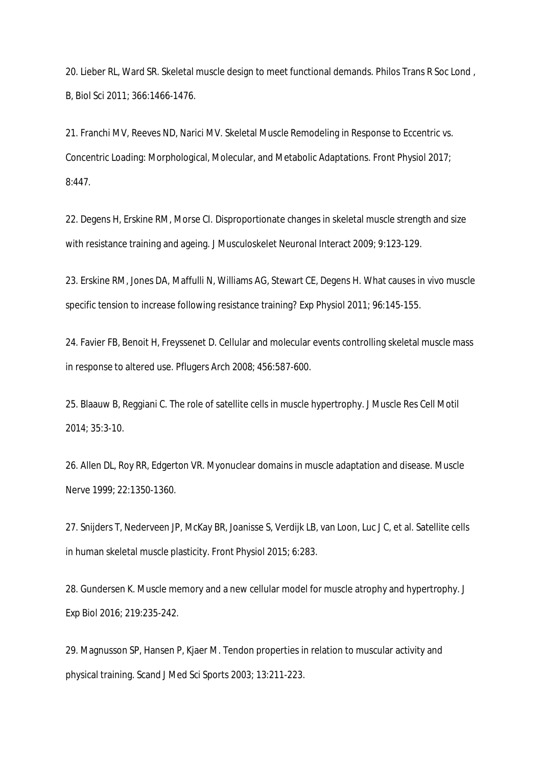20. Lieber RL, Ward SR. Skeletal muscle design to meet functional demands. Philos Trans R Soc Lond , B, Biol Sci 2011; 366:1466-1476.

21. Franchi MV, Reeves ND, Narici MV. Skeletal Muscle Remodeling in Response to Eccentric vs. Concentric Loading: Morphological, Molecular, and Metabolic Adaptations. Front Physiol 2017; 8:447.

22. Degens H, Erskine RM, Morse CI. Disproportionate changes in skeletal muscle strength and size with resistance training and ageing. J Musculoskelet Neuronal Interact 2009; 9:123-129.

23. Erskine RM, Jones DA, Maffulli N, Williams AG, Stewart CE, Degens H. What causes in vivo muscle specific tension to increase following resistance training? Exp Physiol 2011; 96:145-155.

24. Favier FB, Benoit H, Freyssenet D. Cellular and molecular events controlling skeletal muscle mass in response to altered use. Pflugers Arch 2008; 456:587-600.

25. Blaauw B, Reggiani C. The role of satellite cells in muscle hypertrophy. J Muscle Res Cell Motil 2014; 35:3-10.

26. Allen DL, Roy RR, Edgerton VR. Myonuclear domains in muscle adaptation and disease. Muscle Nerve 1999; 22:1350-1360.

27. Snijders T, Nederveen JP, McKay BR, Joanisse S, Verdijk LB, van Loon, Luc J C, et al. Satellite cells in human skeletal muscle plasticity. Front Physiol 2015; 6:283.

28. Gundersen K. Muscle memory and a new cellular model for muscle atrophy and hypertrophy. J Exp Biol 2016; 219:235-242.

29. Magnusson SP, Hansen P, Kjaer M. Tendon properties in relation to muscular activity and physical training. Scand J Med Sci Sports 2003; 13:211-223.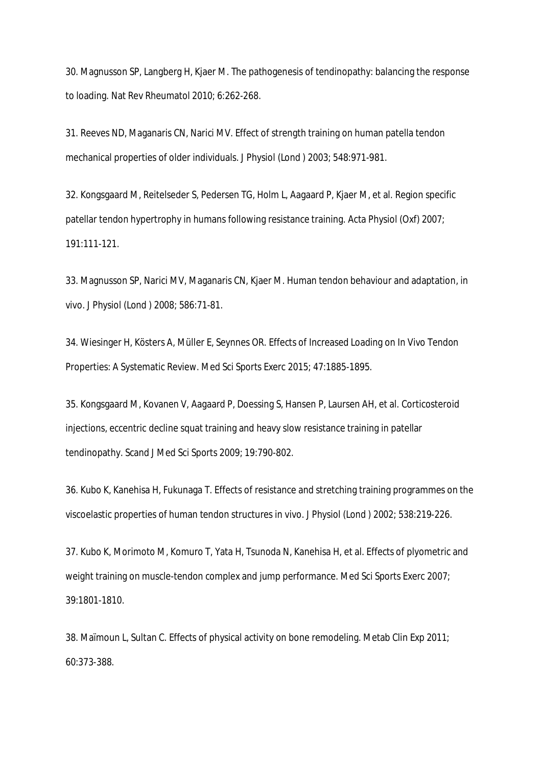30. Magnusson SP, Langberg H, Kjaer M. The pathogenesis of tendinopathy: balancing the response to loading. Nat Rev Rheumatol 2010; 6:262-268.

31. Reeves ND, Maganaris CN, Narici MV. Effect of strength training on human patella tendon mechanical properties of older individuals. J Physiol (Lond ) 2003; 548:971-981.

32. Kongsgaard M, Reitelseder S, Pedersen TG, Holm L, Aagaard P, Kjaer M, et al. Region specific patellar tendon hypertrophy in humans following resistance training. Acta Physiol (Oxf) 2007; 191:111-121.

33. Magnusson SP, Narici MV, Maganaris CN, Kjaer M. Human tendon behaviour and adaptation, in vivo. J Physiol (Lond ) 2008; 586:71-81.

34. Wiesinger H, Kösters A, Müller E, Seynnes OR. Effects of Increased Loading on In Vivo Tendon Properties: A Systematic Review. Med Sci Sports Exerc 2015; 47:1885-1895.

35. Kongsgaard M, Kovanen V, Aagaard P, Doessing S, Hansen P, Laursen AH, et al. Corticosteroid injections, eccentric decline squat training and heavy slow resistance training in patellar tendinopathy. Scand J Med Sci Sports 2009; 19:790-802.

36. Kubo K, Kanehisa H, Fukunaga T. Effects of resistance and stretching training programmes on the viscoelastic properties of human tendon structures in vivo. J Physiol (Lond ) 2002; 538:219-226.

37. Kubo K, Morimoto M, Komuro T, Yata H, Tsunoda N, Kanehisa H, et al. Effects of plyometric and weight training on muscle-tendon complex and jump performance. Med Sci Sports Exerc 2007; 39:1801-1810.

38. Maïmoun L, Sultan C. Effects of physical activity on bone remodeling. Metab Clin Exp 2011; 60:373-388.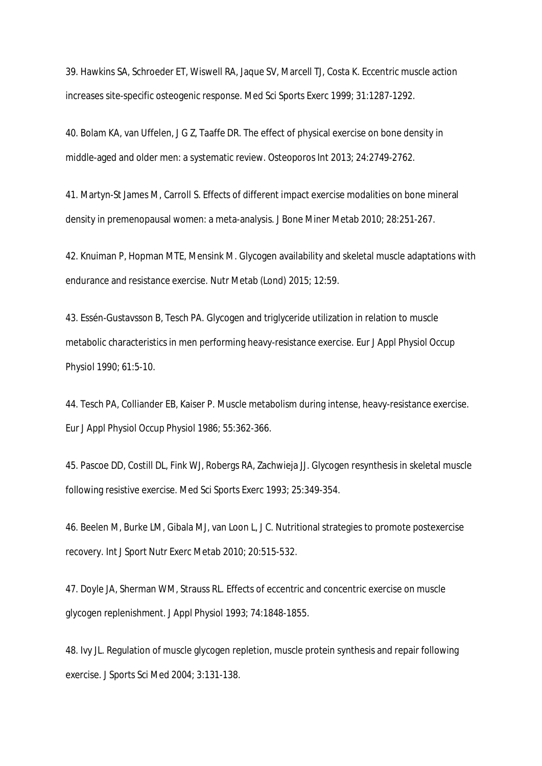39. Hawkins SA, Schroeder ET, Wiswell RA, Jaque SV, Marcell TJ, Costa K. Eccentric muscle action increases site-specific osteogenic response. Med Sci Sports Exerc 1999; 31:1287-1292.

40. Bolam KA, van Uffelen, J G Z, Taaffe DR. The effect of physical exercise on bone density in middle-aged and older men: a systematic review. Osteoporos Int 2013; 24:2749-2762.

41. Martyn-St James M, Carroll S. Effects of different impact exercise modalities on bone mineral density in premenopausal women: a meta-analysis. J Bone Miner Metab 2010; 28:251-267.

42. Knuiman P, Hopman MTE, Mensink M. Glycogen availability and skeletal muscle adaptations with endurance and resistance exercise. Nutr Metab (Lond) 2015; 12:59.

43. Essén-Gustavsson B, Tesch PA. Glycogen and triglyceride utilization in relation to muscle metabolic characteristics in men performing heavy-resistance exercise. Eur J Appl Physiol Occup Physiol 1990; 61:5-10.

44. Tesch PA, Colliander EB, Kaiser P. Muscle metabolism during intense, heavy-resistance exercise. Eur J Appl Physiol Occup Physiol 1986; 55:362-366.

45. Pascoe DD, Costill DL, Fink WJ, Robergs RA, Zachwieja JJ. Glycogen resynthesis in skeletal muscle following resistive exercise. Med Sci Sports Exerc 1993; 25:349-354.

46. Beelen M, Burke LM, Gibala MJ, van Loon L, J C. Nutritional strategies to promote postexercise recovery. Int J Sport Nutr Exerc Metab 2010; 20:515-532.

47. Doyle JA, Sherman WM, Strauss RL. Effects of eccentric and concentric exercise on muscle glycogen replenishment. J Appl Physiol 1993; 74:1848-1855.

48. Ivy JL. Regulation of muscle glycogen repletion, muscle protein synthesis and repair following exercise. J Sports Sci Med 2004; 3:131-138.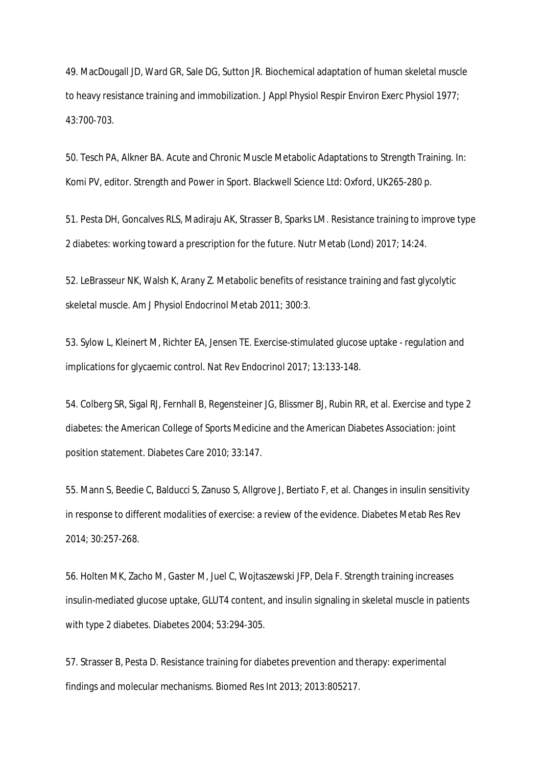49. MacDougall JD, Ward GR, Sale DG, Sutton JR. Biochemical adaptation of human skeletal muscle to heavy resistance training and immobilization. J Appl Physiol Respir Environ Exerc Physiol 1977; 43:700-703.

50. Tesch PA, Alkner BA. Acute and Chronic Muscle Metabolic Adaptations to Strength Training. In: Komi PV, editor. Strength and Power in Sport. Blackwell Science Ltd: Oxford, UK265-280 p.

51. Pesta DH, Goncalves RLS, Madiraju AK, Strasser B, Sparks LM. Resistance training to improve type 2 diabetes: working toward a prescription for the future. Nutr Metab (Lond) 2017; 14:24.

52. LeBrasseur NK, Walsh K, Arany Z. Metabolic benefits of resistance training and fast glycolytic skeletal muscle. Am J Physiol Endocrinol Metab 2011; 300:3.

53. Sylow L, Kleinert M, Richter EA, Jensen TE. Exercise-stimulated glucose uptake - regulation and implications for glycaemic control. Nat Rev Endocrinol 2017; 13:133-148.

54. Colberg SR, Sigal RJ, Fernhall B, Regensteiner JG, Blissmer BJ, Rubin RR, et al. Exercise and type 2 diabetes: the American College of Sports Medicine and the American Diabetes Association: joint position statement. Diabetes Care 2010; 33:147.

55. Mann S, Beedie C, Balducci S, Zanuso S, Allgrove J, Bertiato F, et al. Changes in insulin sensitivity in response to different modalities of exercise: a review of the evidence. Diabetes Metab Res Rev 2014; 30:257-268.

56. Holten MK, Zacho M, Gaster M, Juel C, Wojtaszewski JFP, Dela F. Strength training increases insulin-mediated glucose uptake, GLUT4 content, and insulin signaling in skeletal muscle in patients with type 2 diabetes. Diabetes 2004; 53:294-305.

57. Strasser B, Pesta D. Resistance training for diabetes prevention and therapy: experimental findings and molecular mechanisms. Biomed Res Int 2013; 2013:805217.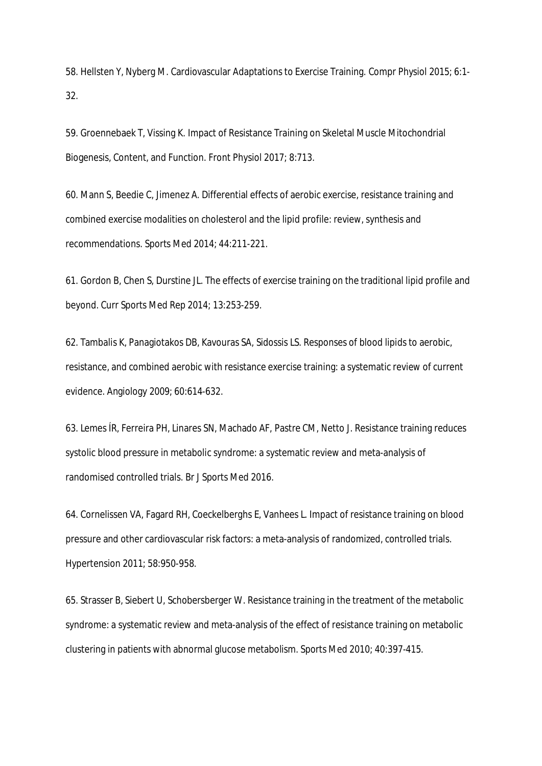58. Hellsten Y, Nyberg M. Cardiovascular Adaptations to Exercise Training. Compr Physiol 2015; 6:1- 32.

59. Groennebaek T, Vissing K. Impact of Resistance Training on Skeletal Muscle Mitochondrial Biogenesis, Content, and Function. Front Physiol 2017; 8:713.

60. Mann S, Beedie C, Jimenez A. Differential effects of aerobic exercise, resistance training and combined exercise modalities on cholesterol and the lipid profile: review, synthesis and recommendations. Sports Med 2014; 44:211-221.

61. Gordon B, Chen S, Durstine JL. The effects of exercise training on the traditional lipid profile and beyond. Curr Sports Med Rep 2014; 13:253-259.

62. Tambalis K, Panagiotakos DB, Kavouras SA, Sidossis LS. Responses of blood lipids to aerobic, resistance, and combined aerobic with resistance exercise training: a systematic review of current evidence. Angiology 2009; 60:614-632.

63. Lemes ÍR, Ferreira PH, Linares SN, Machado AF, Pastre CM, Netto J. Resistance training reduces systolic blood pressure in metabolic syndrome: a systematic review and meta-analysis of randomised controlled trials. Br J Sports Med 2016.

64. Cornelissen VA, Fagard RH, Coeckelberghs E, Vanhees L. Impact of resistance training on blood pressure and other cardiovascular risk factors: a meta-analysis of randomized, controlled trials. Hypertension 2011; 58:950-958.

65. Strasser B, Siebert U, Schobersberger W. Resistance training in the treatment of the metabolic syndrome: a systematic review and meta-analysis of the effect of resistance training on metabolic clustering in patients with abnormal glucose metabolism. Sports Med 2010; 40:397-415.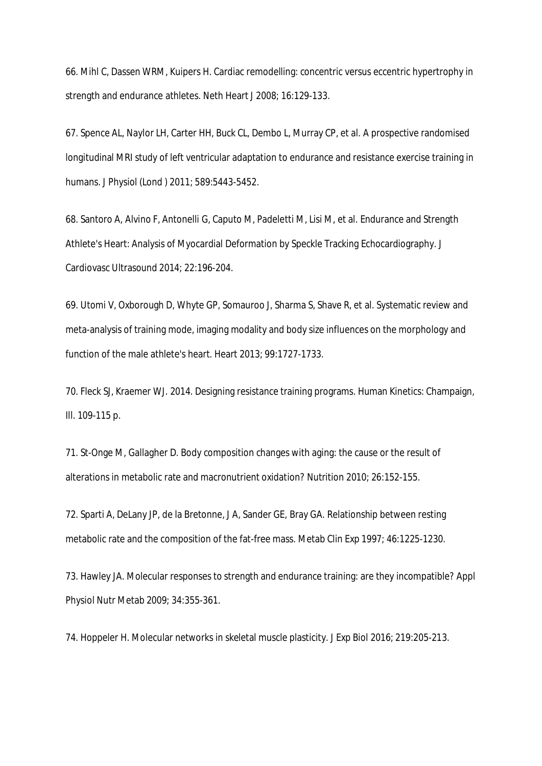66. Mihl C, Dassen WRM, Kuipers H. Cardiac remodelling: concentric versus eccentric hypertrophy in strength and endurance athletes. Neth Heart J 2008; 16:129-133.

67. Spence AL, Naylor LH, Carter HH, Buck CL, Dembo L, Murray CP, et al. A prospective randomised longitudinal MRI study of left ventricular adaptation to endurance and resistance exercise training in humans. J Physiol (Lond ) 2011; 589:5443-5452.

68. Santoro A, Alvino F, Antonelli G, Caputo M, Padeletti M, Lisi M, et al. Endurance and Strength Athlete's Heart: Analysis of Myocardial Deformation by Speckle Tracking Echocardiography. J Cardiovasc Ultrasound 2014; 22:196-204.

69. Utomi V, Oxborough D, Whyte GP, Somauroo J, Sharma S, Shave R, et al. Systematic review and meta-analysis of training mode, imaging modality and body size influences on the morphology and function of the male athlete's heart. Heart 2013; 99:1727-1733.

70. Fleck SJ, Kraemer WJ. 2014. Designing resistance training programs. Human Kinetics: Champaign, Ill. 109-115 p.

71. St-Onge M, Gallagher D. Body composition changes with aging: the cause or the result of alterations in metabolic rate and macronutrient oxidation? Nutrition 2010; 26:152-155.

72. Sparti A, DeLany JP, de la Bretonne, J A, Sander GE, Bray GA. Relationship between resting metabolic rate and the composition of the fat-free mass. Metab Clin Exp 1997; 46:1225-1230.

73. Hawley JA. Molecular responses to strength and endurance training: are they incompatible? Appl Physiol Nutr Metab 2009; 34:355-361.

74. Hoppeler H. Molecular networks in skeletal muscle plasticity. J Exp Biol 2016; 219:205-213.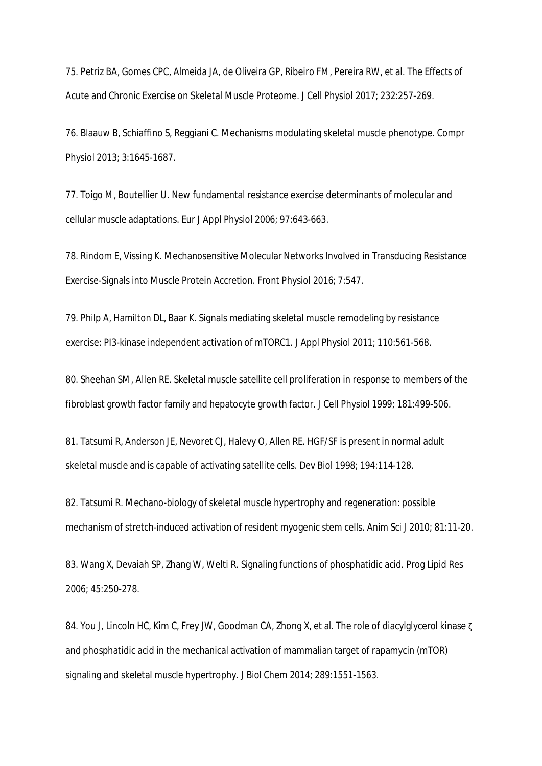75. Petriz BA, Gomes CPC, Almeida JA, de Oliveira GP, Ribeiro FM, Pereira RW, et al. The Effects of Acute and Chronic Exercise on Skeletal Muscle Proteome. J Cell Physiol 2017; 232:257-269.

76. Blaauw B, Schiaffino S, Reggiani C. Mechanisms modulating skeletal muscle phenotype. Compr Physiol 2013; 3:1645-1687.

77. Toigo M, Boutellier U. New fundamental resistance exercise determinants of molecular and cellular muscle adaptations. Eur J Appl Physiol 2006; 97:643-663.

78. Rindom E, Vissing K. Mechanosensitive Molecular Networks Involved in Transducing Resistance Exercise-Signals into Muscle Protein Accretion. Front Physiol 2016; 7:547.

79. Philp A, Hamilton DL, Baar K. Signals mediating skeletal muscle remodeling by resistance exercise: PI3-kinase independent activation of mTORC1. J Appl Physiol 2011; 110:561-568.

80. Sheehan SM, Allen RE. Skeletal muscle satellite cell proliferation in response to members of the fibroblast growth factor family and hepatocyte growth factor. J Cell Physiol 1999; 181:499-506.

81. Tatsumi R, Anderson JE, Nevoret CJ, Halevy O, Allen RE. HGF/SF is present in normal adult skeletal muscle and is capable of activating satellite cells. Dev Biol 1998; 194:114-128.

82. Tatsumi R. Mechano-biology of skeletal muscle hypertrophy and regeneration: possible mechanism of stretch-induced activation of resident myogenic stem cells. Anim Sci J 2010; 81:11-20.

83. Wang X, Devaiah SP, Zhang W, Welti R. Signaling functions of phosphatidic acid. Prog Lipid Res 2006; 45:250-278.

84. You J, Lincoln HC, Kim C, Frey JW, Goodman CA, Zhong X, et al. The role of diacylglycerol kinase ζ and phosphatidic acid in the mechanical activation of mammalian target of rapamycin (mTOR) signaling and skeletal muscle hypertrophy. J Biol Chem 2014; 289:1551-1563.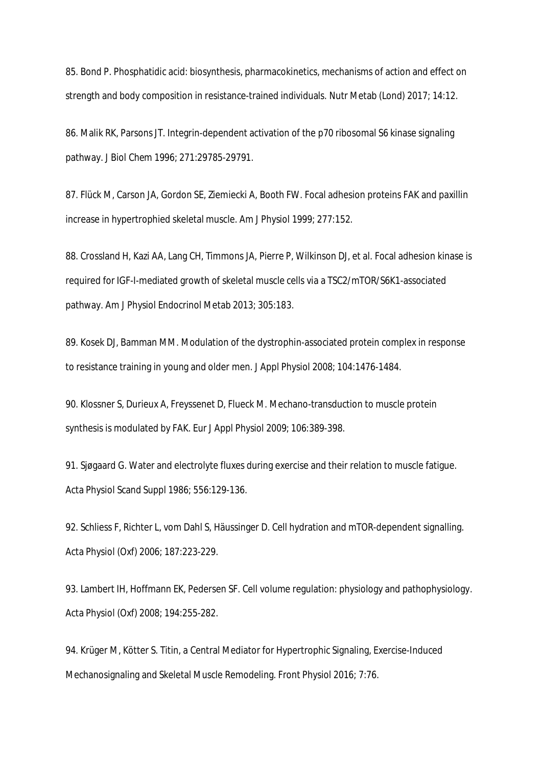85. Bond P. Phosphatidic acid: biosynthesis, pharmacokinetics, mechanisms of action and effect on strength and body composition in resistance-trained individuals. Nutr Metab (Lond) 2017; 14:12.

86. Malik RK, Parsons JT. Integrin-dependent activation of the p70 ribosomal S6 kinase signaling pathway. J Biol Chem 1996; 271:29785-29791.

87. Flück M, Carson JA, Gordon SE, Ziemiecki A, Booth FW. Focal adhesion proteins FAK and paxillin increase in hypertrophied skeletal muscle. Am J Physiol 1999; 277:152.

88. Crossland H, Kazi AA, Lang CH, Timmons JA, Pierre P, Wilkinson DJ, et al. Focal adhesion kinase is required for IGF-I-mediated growth of skeletal muscle cells via a TSC2/mTOR/S6K1-associated pathway. Am J Physiol Endocrinol Metab 2013; 305:183.

89. Kosek DJ, Bamman MM. Modulation of the dystrophin-associated protein complex in response to resistance training in young and older men. J Appl Physiol 2008; 104:1476-1484.

90. Klossner S, Durieux A, Freyssenet D, Flueck M. Mechano-transduction to muscle protein synthesis is modulated by FAK. Eur J Appl Physiol 2009; 106:389-398.

91. Sjøgaard G. Water and electrolyte fluxes during exercise and their relation to muscle fatigue. Acta Physiol Scand Suppl 1986; 556:129-136.

92. Schliess F, Richter L, vom Dahl S, Häussinger D. Cell hydration and mTOR-dependent signalling. Acta Physiol (Oxf) 2006; 187:223-229.

93. Lambert IH, Hoffmann EK, Pedersen SF. Cell volume regulation: physiology and pathophysiology. Acta Physiol (Oxf) 2008; 194:255-282.

94. Krüger M, Kötter S. Titin, a Central Mediator for Hypertrophic Signaling, Exercise-Induced Mechanosignaling and Skeletal Muscle Remodeling. Front Physiol 2016; 7:76.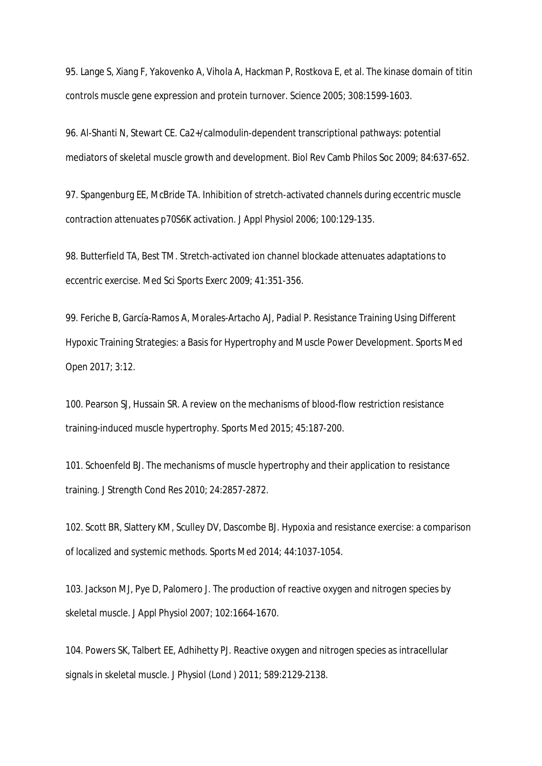95. Lange S, Xiang F, Yakovenko A, Vihola A, Hackman P, Rostkova E, et al. The kinase domain of titin controls muscle gene expression and protein turnover. Science 2005; 308:1599-1603.

96. Al-Shanti N, Stewart CE. Ca2+/calmodulin-dependent transcriptional pathways: potential mediators of skeletal muscle growth and development. Biol Rev Camb Philos Soc 2009; 84:637-652.

97. Spangenburg EE, McBride TA. Inhibition of stretch-activated channels during eccentric muscle contraction attenuates p70S6K activation. J Appl Physiol 2006; 100:129-135.

98. Butterfield TA, Best TM. Stretch-activated ion channel blockade attenuates adaptations to eccentric exercise. Med Sci Sports Exerc 2009; 41:351-356.

99. Feriche B, García-Ramos A, Morales-Artacho AJ, Padial P. Resistance Training Using Different Hypoxic Training Strategies: a Basis for Hypertrophy and Muscle Power Development. Sports Med Open 2017; 3:12.

100. Pearson SJ, Hussain SR. A review on the mechanisms of blood-flow restriction resistance training-induced muscle hypertrophy. Sports Med 2015; 45:187-200.

101. Schoenfeld BJ. The mechanisms of muscle hypertrophy and their application to resistance training. J Strength Cond Res 2010; 24:2857-2872.

102. Scott BR, Slattery KM, Sculley DV, Dascombe BJ. Hypoxia and resistance exercise: a comparison of localized and systemic methods. Sports Med 2014; 44:1037-1054.

103. Jackson MJ, Pye D, Palomero J. The production of reactive oxygen and nitrogen species by skeletal muscle. J Appl Physiol 2007; 102:1664-1670.

104. Powers SK, Talbert EE, Adhihetty PJ. Reactive oxygen and nitrogen species as intracellular signals in skeletal muscle. J Physiol (Lond ) 2011; 589:2129-2138.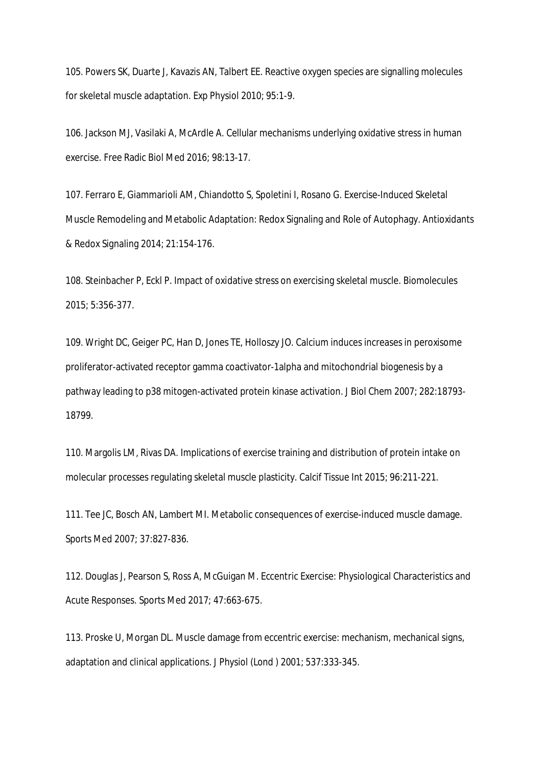105. Powers SK, Duarte J, Kavazis AN, Talbert EE. Reactive oxygen species are signalling molecules for skeletal muscle adaptation. Exp Physiol 2010; 95:1-9.

106. Jackson MJ, Vasilaki A, McArdle A. Cellular mechanisms underlying oxidative stress in human exercise. Free Radic Biol Med 2016; 98:13-17.

107. Ferraro E, Giammarioli AM, Chiandotto S, Spoletini I, Rosano G. Exercise-Induced Skeletal Muscle Remodeling and Metabolic Adaptation: Redox Signaling and Role of Autophagy. Antioxidants & Redox Signaling 2014; 21:154-176.

108. Steinbacher P, Eckl P. Impact of oxidative stress on exercising skeletal muscle. Biomolecules 2015; 5:356-377.

109. Wright DC, Geiger PC, Han D, Jones TE, Holloszy JO. Calcium induces increases in peroxisome proliferator-activated receptor gamma coactivator-1alpha and mitochondrial biogenesis by a pathway leading to p38 mitogen-activated protein kinase activation. J Biol Chem 2007; 282:18793- 18799.

110. Margolis LM, Rivas DA. Implications of exercise training and distribution of protein intake on molecular processes regulating skeletal muscle plasticity. Calcif Tissue Int 2015; 96:211-221.

111. Tee JC, Bosch AN, Lambert MI. Metabolic consequences of exercise-induced muscle damage. Sports Med 2007; 37:827-836.

112. Douglas J, Pearson S, Ross A, McGuigan M. Eccentric Exercise: Physiological Characteristics and Acute Responses. Sports Med 2017; 47:663-675.

113. Proske U, Morgan DL. Muscle damage from eccentric exercise: mechanism, mechanical signs, adaptation and clinical applications. J Physiol (Lond ) 2001; 537:333-345.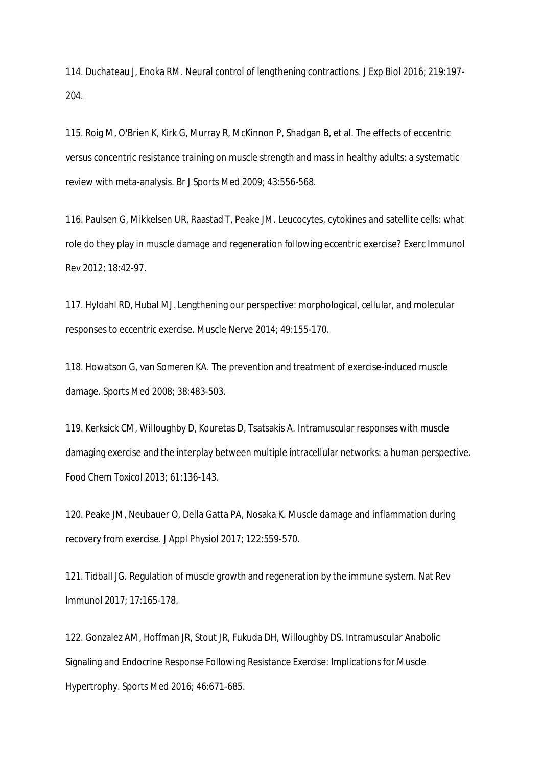114. Duchateau J, Enoka RM. Neural control of lengthening contractions. J Exp Biol 2016; 219:197- 204.

115. Roig M, O'Brien K, Kirk G, Murray R, McKinnon P, Shadgan B, et al. The effects of eccentric versus concentric resistance training on muscle strength and mass in healthy adults: a systematic review with meta-analysis. Br J Sports Med 2009; 43:556-568.

116. Paulsen G, Mikkelsen UR, Raastad T, Peake JM. Leucocytes, cytokines and satellite cells: what role do they play in muscle damage and regeneration following eccentric exercise? Exerc Immunol Rev 2012; 18:42-97.

117. Hyldahl RD, Hubal MJ. Lengthening our perspective: morphological, cellular, and molecular responses to eccentric exercise. Muscle Nerve 2014; 49:155-170.

118. Howatson G, van Someren KA. The prevention and treatment of exercise-induced muscle damage. Sports Med 2008; 38:483-503.

119. Kerksick CM, Willoughby D, Kouretas D, Tsatsakis A. Intramuscular responses with muscle damaging exercise and the interplay between multiple intracellular networks: a human perspective. Food Chem Toxicol 2013; 61:136-143.

120. Peake JM, Neubauer O, Della Gatta PA, Nosaka K. Muscle damage and inflammation during recovery from exercise. J Appl Physiol 2017; 122:559-570.

121. Tidball JG. Regulation of muscle growth and regeneration by the immune system. Nat Rev Immunol 2017; 17:165-178.

122. Gonzalez AM, Hoffman JR, Stout JR, Fukuda DH, Willoughby DS. Intramuscular Anabolic Signaling and Endocrine Response Following Resistance Exercise: Implications for Muscle Hypertrophy. Sports Med 2016; 46:671-685.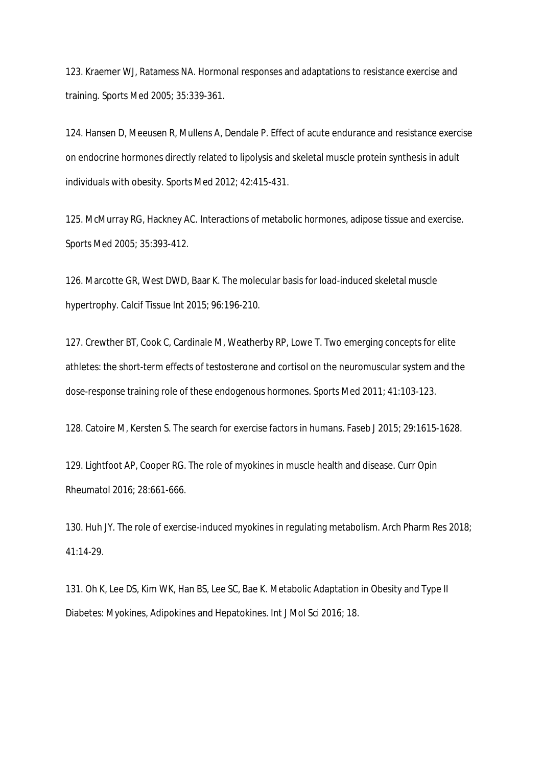123. Kraemer WJ, Ratamess NA. Hormonal responses and adaptations to resistance exercise and training. Sports Med 2005; 35:339-361.

124. Hansen D, Meeusen R, Mullens A, Dendale P. Effect of acute endurance and resistance exercise on endocrine hormones directly related to lipolysis and skeletal muscle protein synthesis in adult individuals with obesity. Sports Med 2012; 42:415-431.

125. McMurray RG, Hackney AC. Interactions of metabolic hormones, adipose tissue and exercise. Sports Med 2005; 35:393-412.

126. Marcotte GR, West DWD, Baar K. The molecular basis for load-induced skeletal muscle hypertrophy. Calcif Tissue Int 2015; 96:196-210.

127. Crewther BT, Cook C, Cardinale M, Weatherby RP, Lowe T. Two emerging concepts for elite athletes: the short-term effects of testosterone and cortisol on the neuromuscular system and the dose-response training role of these endogenous hormones. Sports Med 2011; 41:103-123.

128. Catoire M, Kersten S. The search for exercise factors in humans. Faseb J 2015; 29:1615-1628.

129. Lightfoot AP, Cooper RG. The role of myokines in muscle health and disease. Curr Opin Rheumatol 2016; 28:661-666.

130. Huh JY. The role of exercise-induced myokines in regulating metabolism. Arch Pharm Res 2018; 41:14-29.

131. Oh K, Lee DS, Kim WK, Han BS, Lee SC, Bae K. Metabolic Adaptation in Obesity and Type II Diabetes: Myokines, Adipokines and Hepatokines. Int J Mol Sci 2016; 18.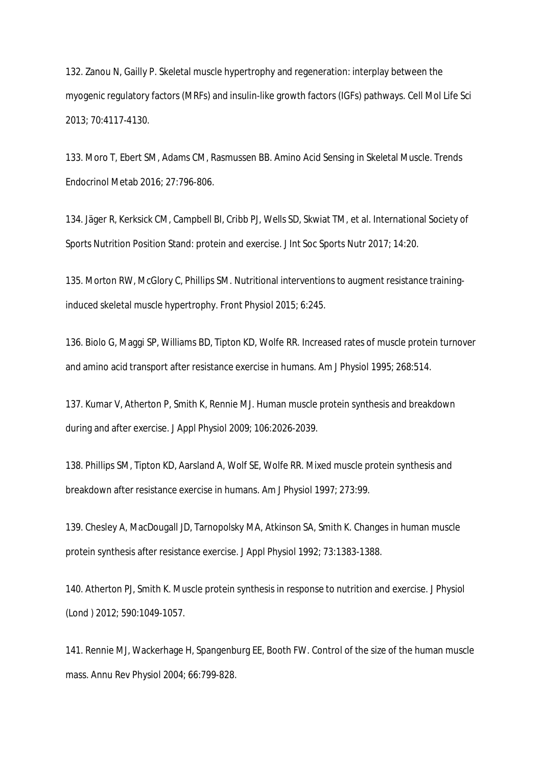132. Zanou N, Gailly P. Skeletal muscle hypertrophy and regeneration: interplay between the myogenic regulatory factors (MRFs) and insulin-like growth factors (IGFs) pathways. Cell Mol Life Sci 2013; 70:4117-4130.

133. Moro T, Ebert SM, Adams CM, Rasmussen BB. Amino Acid Sensing in Skeletal Muscle. Trends Endocrinol Metab 2016; 27:796-806.

134. Jäger R, Kerksick CM, Campbell BI, Cribb PJ, Wells SD, Skwiat TM, et al. International Society of Sports Nutrition Position Stand: protein and exercise. J Int Soc Sports Nutr 2017; 14:20.

135. Morton RW, McGlory C, Phillips SM. Nutritional interventions to augment resistance traininginduced skeletal muscle hypertrophy. Front Physiol 2015; 6:245.

136. Biolo G, Maggi SP, Williams BD, Tipton KD, Wolfe RR. Increased rates of muscle protein turnover and amino acid transport after resistance exercise in humans. Am J Physiol 1995; 268:514.

137. Kumar V, Atherton P, Smith K, Rennie MJ. Human muscle protein synthesis and breakdown during and after exercise. J Appl Physiol 2009; 106:2026-2039.

138. Phillips SM, Tipton KD, Aarsland A, Wolf SE, Wolfe RR. Mixed muscle protein synthesis and breakdown after resistance exercise in humans. Am J Physiol 1997; 273:99.

139. Chesley A, MacDougall JD, Tarnopolsky MA, Atkinson SA, Smith K. Changes in human muscle protein synthesis after resistance exercise. J Appl Physiol 1992; 73:1383-1388.

140. Atherton PJ, Smith K. Muscle protein synthesis in response to nutrition and exercise. J Physiol (Lond ) 2012; 590:1049-1057.

141. Rennie MJ, Wackerhage H, Spangenburg EE, Booth FW. Control of the size of the human muscle mass. Annu Rev Physiol 2004; 66:799-828.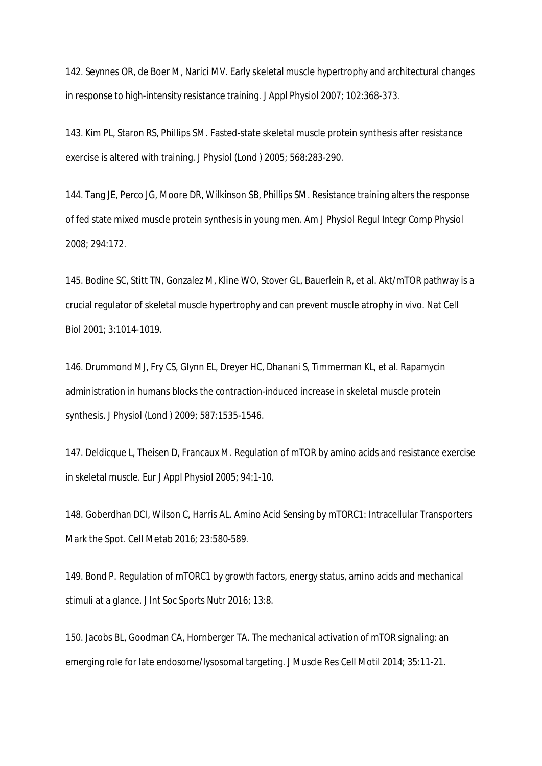142. Seynnes OR, de Boer M, Narici MV. Early skeletal muscle hypertrophy and architectural changes in response to high-intensity resistance training. J Appl Physiol 2007; 102:368-373.

143. Kim PL, Staron RS, Phillips SM. Fasted-state skeletal muscle protein synthesis after resistance exercise is altered with training. J Physiol (Lond ) 2005; 568:283-290.

144. Tang JE, Perco JG, Moore DR, Wilkinson SB, Phillips SM. Resistance training alters the response of fed state mixed muscle protein synthesis in young men. Am J Physiol Regul Integr Comp Physiol 2008; 294:172.

145. Bodine SC, Stitt TN, Gonzalez M, Kline WO, Stover GL, Bauerlein R, et al. Akt/mTOR pathway is a crucial regulator of skeletal muscle hypertrophy and can prevent muscle atrophy in vivo. Nat Cell Biol 2001; 3:1014-1019.

146. Drummond MJ, Fry CS, Glynn EL, Dreyer HC, Dhanani S, Timmerman KL, et al. Rapamycin administration in humans blocks the contraction-induced increase in skeletal muscle protein synthesis. J Physiol (Lond ) 2009; 587:1535-1546.

147. Deldicque L, Theisen D, Francaux M. Regulation of mTOR by amino acids and resistance exercise in skeletal muscle. Eur J Appl Physiol 2005; 94:1-10.

148. Goberdhan DCI, Wilson C, Harris AL. Amino Acid Sensing by mTORC1: Intracellular Transporters Mark the Spot. Cell Metab 2016; 23:580-589.

149. Bond P. Regulation of mTORC1 by growth factors, energy status, amino acids and mechanical stimuli at a glance. J Int Soc Sports Nutr 2016; 13:8.

150. Jacobs BL, Goodman CA, Hornberger TA. The mechanical activation of mTOR signaling: an emerging role for late endosome/lysosomal targeting. J Muscle Res Cell Motil 2014; 35:11-21.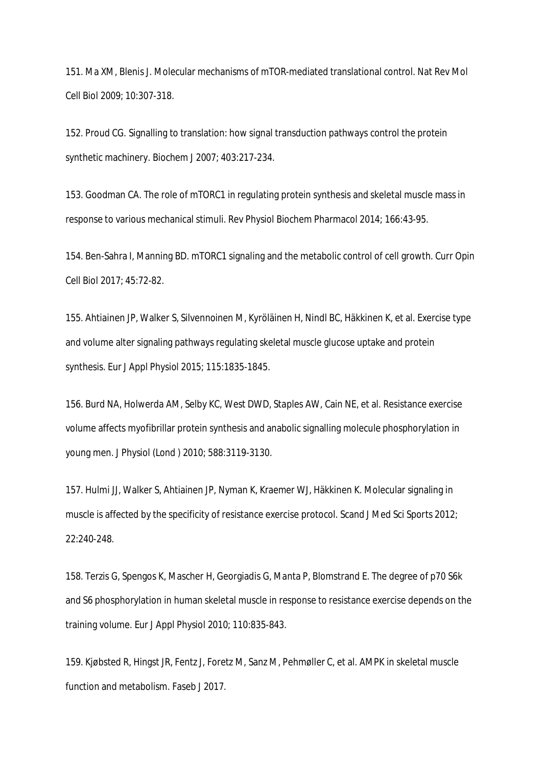151. Ma XM, Blenis J. Molecular mechanisms of mTOR-mediated translational control. Nat Rev Mol Cell Biol 2009; 10:307-318.

152. Proud CG. Signalling to translation: how signal transduction pathways control the protein synthetic machinery. Biochem J 2007; 403:217-234.

153. Goodman CA. The role of mTORC1 in regulating protein synthesis and skeletal muscle mass in response to various mechanical stimuli. Rev Physiol Biochem Pharmacol 2014; 166:43-95.

154. Ben-Sahra I, Manning BD. mTORC1 signaling and the metabolic control of cell growth. Curr Opin Cell Biol 2017; 45:72-82.

155. Ahtiainen JP, Walker S, Silvennoinen M, Kyröläinen H, Nindl BC, Häkkinen K, et al. Exercise type and volume alter signaling pathways regulating skeletal muscle glucose uptake and protein synthesis. Eur J Appl Physiol 2015; 115:1835-1845.

156. Burd NA, Holwerda AM, Selby KC, West DWD, Staples AW, Cain NE, et al. Resistance exercise volume affects myofibrillar protein synthesis and anabolic signalling molecule phosphorylation in young men. J Physiol (Lond ) 2010; 588:3119-3130.

157. Hulmi JJ, Walker S, Ahtiainen JP, Nyman K, Kraemer WJ, Häkkinen K. Molecular signaling in muscle is affected by the specificity of resistance exercise protocol. Scand J Med Sci Sports 2012; 22:240-248.

158. Terzis G, Spengos K, Mascher H, Georgiadis G, Manta P, Blomstrand E. The degree of p70 S6k and S6 phosphorylation in human skeletal muscle in response to resistance exercise depends on the training volume. Eur J Appl Physiol 2010; 110:835-843.

159. Kjøbsted R, Hingst JR, Fentz J, Foretz M, Sanz M, Pehmøller C, et al. AMPK in skeletal muscle function and metabolism. Faseb J 2017.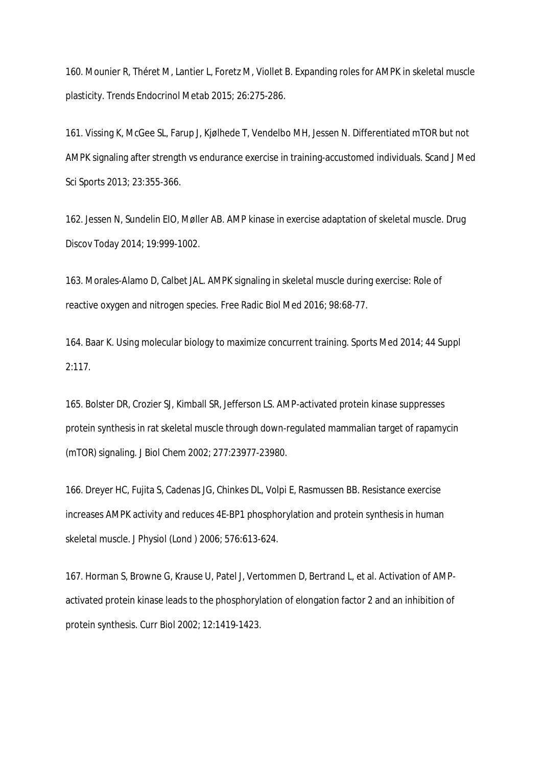160. Mounier R, Théret M, Lantier L, Foretz M, Viollet B. Expanding roles for AMPK in skeletal muscle plasticity. Trends Endocrinol Metab 2015; 26:275-286.

161. Vissing K, McGee SL, Farup J, Kjølhede T, Vendelbo MH, Jessen N. Differentiated mTOR but not AMPK signaling after strength vs endurance exercise in training-accustomed individuals. Scand J Med Sci Sports 2013; 23:355-366.

162. Jessen N, Sundelin EIO, Møller AB. AMP kinase in exercise adaptation of skeletal muscle. Drug Discov Today 2014; 19:999-1002.

163. Morales-Alamo D, Calbet JAL. AMPK signaling in skeletal muscle during exercise: Role of reactive oxygen and nitrogen species. Free Radic Biol Med 2016; 98:68-77.

164. Baar K. Using molecular biology to maximize concurrent training. Sports Med 2014; 44 Suppl 2:117.

165. Bolster DR, Crozier SJ, Kimball SR, Jefferson LS. AMP-activated protein kinase suppresses protein synthesis in rat skeletal muscle through down-regulated mammalian target of rapamycin (mTOR) signaling. J Biol Chem 2002; 277:23977-23980.

166. Dreyer HC, Fujita S, Cadenas JG, Chinkes DL, Volpi E, Rasmussen BB. Resistance exercise increases AMPK activity and reduces 4E-BP1 phosphorylation and protein synthesis in human skeletal muscle. J Physiol (Lond ) 2006; 576:613-624.

167. Horman S, Browne G, Krause U, Patel J, Vertommen D, Bertrand L, et al. Activation of AMPactivated protein kinase leads to the phosphorylation of elongation factor 2 and an inhibition of protein synthesis. Curr Biol 2002; 12:1419-1423.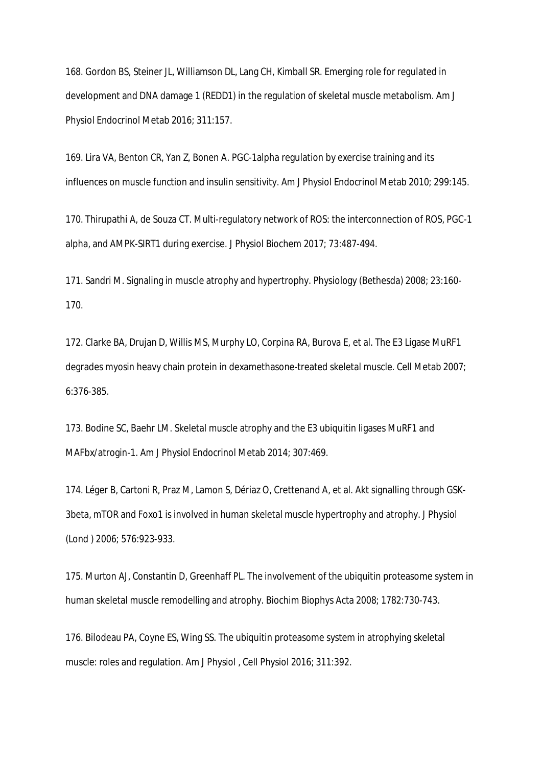168. Gordon BS, Steiner JL, Williamson DL, Lang CH, Kimball SR. Emerging role for regulated in development and DNA damage 1 (REDD1) in the regulation of skeletal muscle metabolism. Am J Physiol Endocrinol Metab 2016; 311:157.

169. Lira VA, Benton CR, Yan Z, Bonen A. PGC-1alpha regulation by exercise training and its influences on muscle function and insulin sensitivity. Am J Physiol Endocrinol Metab 2010; 299:145.

170. Thirupathi A, de Souza CT. Multi-regulatory network of ROS: the interconnection of ROS, PGC-1 alpha, and AMPK-SIRT1 during exercise. J Physiol Biochem 2017; 73:487-494.

171. Sandri M. Signaling in muscle atrophy and hypertrophy. Physiology (Bethesda) 2008; 23:160- 170.

172. Clarke BA, Drujan D, Willis MS, Murphy LO, Corpina RA, Burova E, et al. The E3 Ligase MuRF1 degrades myosin heavy chain protein in dexamethasone-treated skeletal muscle. Cell Metab 2007; 6:376-385.

173. Bodine SC, Baehr LM. Skeletal muscle atrophy and the E3 ubiquitin ligases MuRF1 and MAFbx/atrogin-1. Am J Physiol Endocrinol Metab 2014; 307:469.

174. Léger B, Cartoni R, Praz M, Lamon S, Dériaz O, Crettenand A, et al. Akt signalling through GSK-3beta, mTOR and Foxo1 is involved in human skeletal muscle hypertrophy and atrophy. J Physiol (Lond ) 2006; 576:923-933.

175. Murton AJ, Constantin D, Greenhaff PL. The involvement of the ubiquitin proteasome system in human skeletal muscle remodelling and atrophy. Biochim Biophys Acta 2008; 1782:730-743.

176. Bilodeau PA, Coyne ES, Wing SS. The ubiquitin proteasome system in atrophying skeletal muscle: roles and regulation. Am J Physiol , Cell Physiol 2016; 311:392.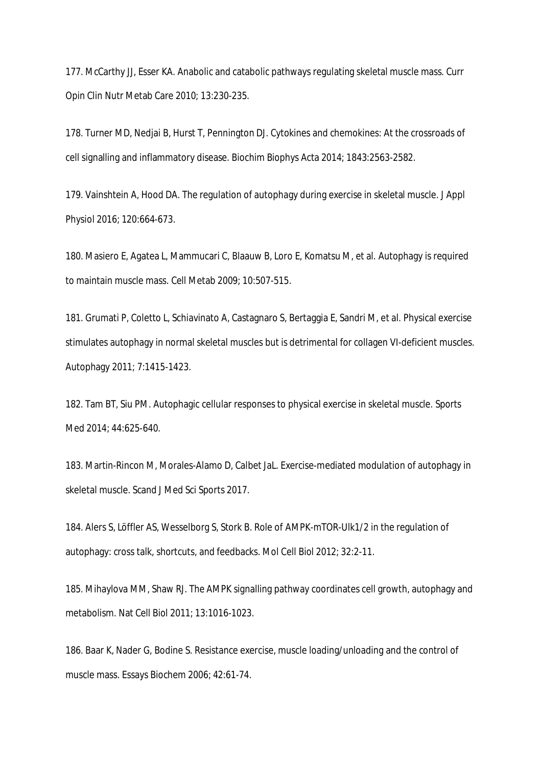177. McCarthy JJ, Esser KA. Anabolic and catabolic pathways regulating skeletal muscle mass. Curr Opin Clin Nutr Metab Care 2010; 13:230-235.

178. Turner MD, Nedjai B, Hurst T, Pennington DJ. Cytokines and chemokines: At the crossroads of cell signalling and inflammatory disease. Biochim Biophys Acta 2014; 1843:2563-2582.

179. Vainshtein A, Hood DA. The regulation of autophagy during exercise in skeletal muscle. J Appl Physiol 2016; 120:664-673.

180. Masiero E, Agatea L, Mammucari C, Blaauw B, Loro E, Komatsu M, et al. Autophagy is required to maintain muscle mass. Cell Metab 2009; 10:507-515.

181. Grumati P, Coletto L, Schiavinato A, Castagnaro S, Bertaggia E, Sandri M, et al. Physical exercise stimulates autophagy in normal skeletal muscles but is detrimental for collagen VI-deficient muscles. Autophagy 2011; 7:1415-1423.

182. Tam BT, Siu PM. Autophagic cellular responses to physical exercise in skeletal muscle. Sports Med 2014; 44:625-640.

183. Martin-Rincon M, Morales-Alamo D, Calbet JaL. Exercise-mediated modulation of autophagy in skeletal muscle. Scand J Med Sci Sports 2017.

184. Alers S, Löffler AS, Wesselborg S, Stork B. Role of AMPK-mTOR-Ulk1/2 in the regulation of autophagy: cross talk, shortcuts, and feedbacks. Mol Cell Biol 2012; 32:2-11.

185. Mihaylova MM, Shaw RJ. The AMPK signalling pathway coordinates cell growth, autophagy and metabolism. Nat Cell Biol 2011; 13:1016-1023.

186. Baar K, Nader G, Bodine S. Resistance exercise, muscle loading/unloading and the control of muscle mass. Essays Biochem 2006; 42:61-74.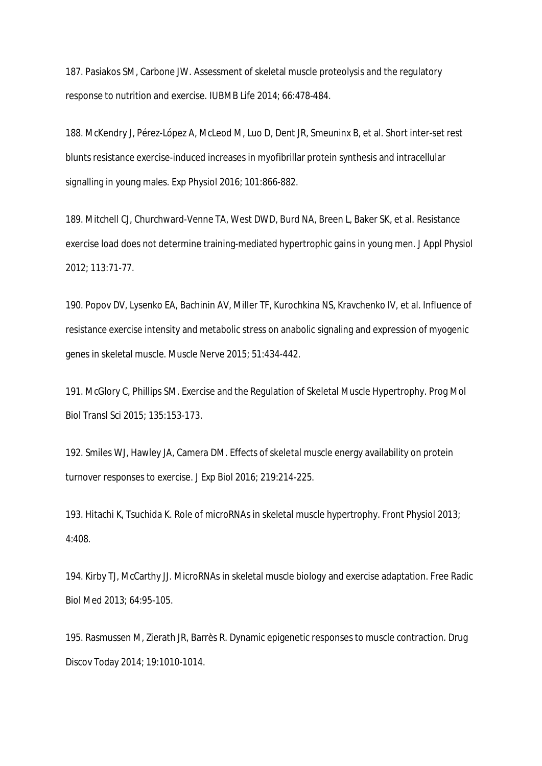187. Pasiakos SM, Carbone JW. Assessment of skeletal muscle proteolysis and the regulatory response to nutrition and exercise. IUBMB Life 2014; 66:478-484.

188. McKendry J, Pérez-López A, McLeod M, Luo D, Dent JR, Smeuninx B, et al. Short inter-set rest blunts resistance exercise-induced increases in myofibrillar protein synthesis and intracellular signalling in young males. Exp Physiol 2016; 101:866-882.

189. Mitchell CJ, Churchward-Venne TA, West DWD, Burd NA, Breen L, Baker SK, et al. Resistance exercise load does not determine training-mediated hypertrophic gains in young men. J Appl Physiol 2012; 113:71-77.

190. Popov DV, Lysenko EA, Bachinin AV, Miller TF, Kurochkina NS, Kravchenko IV, et al. Influence of resistance exercise intensity and metabolic stress on anabolic signaling and expression of myogenic genes in skeletal muscle. Muscle Nerve 2015; 51:434-442.

191. McGlory C, Phillips SM. Exercise and the Regulation of Skeletal Muscle Hypertrophy. Prog Mol Biol Transl Sci 2015; 135:153-173.

192. Smiles WJ, Hawley JA, Camera DM. Effects of skeletal muscle energy availability on protein turnover responses to exercise. J Exp Biol 2016; 219:214-225.

193. Hitachi K, Tsuchida K. Role of microRNAs in skeletal muscle hypertrophy. Front Physiol 2013; 4:408.

194. Kirby TJ, McCarthy JJ. MicroRNAs in skeletal muscle biology and exercise adaptation. Free Radic Biol Med 2013; 64:95-105.

195. Rasmussen M, Zierath JR, Barrès R. Dynamic epigenetic responses to muscle contraction. Drug Discov Today 2014; 19:1010-1014.